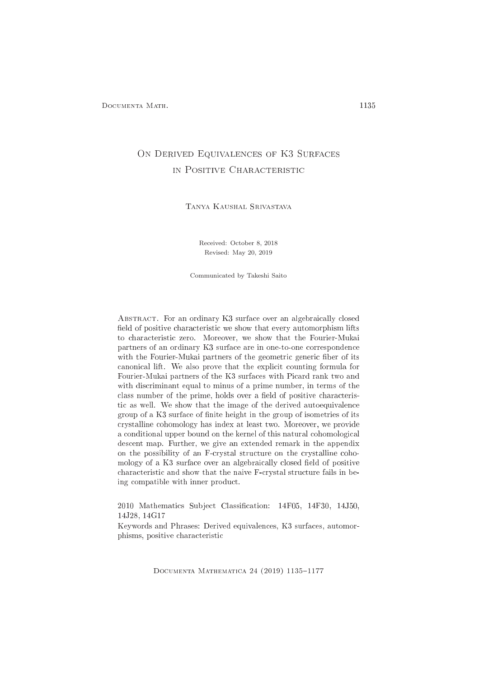# ON DERIVED EQUIVALENCES OF K3 SURFACES IN POSITIVE CHARACTERISTIC

Tanya Kaushal Srivastava

Received: October 8, 2018 Revised: May 20, 2019

Communicated by Takeshi Saito

ABSTRACT. For an ordinary K3 surface over an algebraically closed field of positive characteristic we show that every automorphism lifts to hara
teristi zero. Moreover, we show that the Fourier-Mukai partners of an ordinary K3 surfa
e are in one-to-one orresponden
e with the Fourier-Mukai partners of the geometric generic fiber of its canonical lift. We also prove that the explicit counting formula for Fourier-Mukai partners of the K3 surfaces with Picard rank two and with discriminant equal to minus of a prime number, in terms of the class number of the prime, holds over a field of positive characteristi as well. We show that the image of the derived autoequivalen
e group of a K3 surface of finite height in the group of isometries of its rystalline ohomology has index at least two. Moreover, we provide a conditional upper bound on the kernel of this natural cohomological des
ent map. Further, we give an extended remark in the appendix on the possibility of an F-crystal structure on the crystalline cohomology of a K3 surface over an algebraically closed field of positive characteristic and show that the naive F-crystal structure fails in being ompatible with inner produ
t.

2010 Mathematics Subject Classification: 14F05, 14F30, 14J50, 14J28, 14G17

Keywords and Phrases: Derived equivalen
es, K3 surfa
es, automorphisms, positive characteristic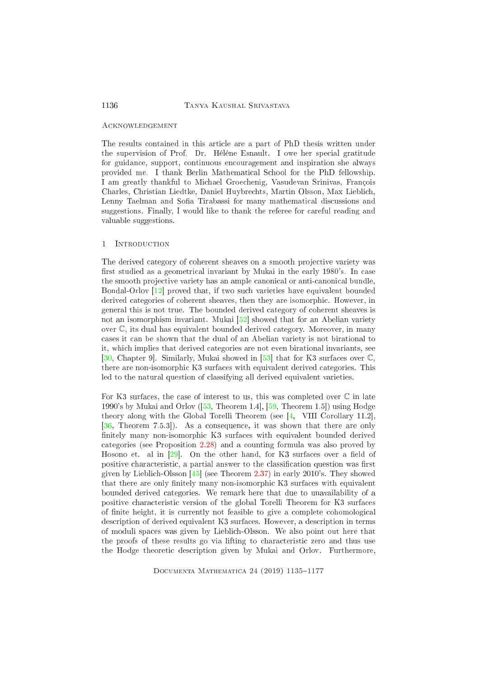### A CKNOWLED GEMENT

The results ontained in this arti
le are a part of PhD thesis written under the supervision of Prof. Dr. Hélène Esnault. I owe her spe
ial gratitude for guidan
e, support, ontinuous en
ouragement and inspiration she always provided me. I thank Berlin Mathematical School for the PhD fellowship. I am greatly thankful to Mi
hael Groe
henig, Vasudevan Srinivas, François Charles, Christian Liedtke, Daniel Huybre
hts, Martin Olsson, Max Liebli
h, Lenny Taelman and Sofia Tirabassi for many mathematical discussions and suggestions. Finally, I would like to thank the referee for careful reading and valuable suggestions.

#### $\mathbf{1}$ **INTRODUCTION**

The derived category of coherent sheaves on a smooth projective variety was first studied as a geometrical invariant by Mukai in the early 1980's. In case the smooth projective variety has an ample canonical or anti-canonical bundle, Bondal-Orlov  $[12]$  proved that, if two such varieties have equivalent bounded derived ategories of oherent sheaves, then they are isomorphi
. However, in general this is not true. The bounded derived ategory of oherent sheaves is not an isomorphism invariant. Mukai  $[52]$  showed that for an Abelian variety over C, its dual has equivalent bounded derived ategory. Moreover, in many ases it an be shown that the dual of an Abelian variety is not birational to it, whi
h implies that derived ategories are not even birational invariants, see [\[30,](#page-39-0) Chapter 9]. Similarly, Mukai showed in [53] that for K3 surfaces over  $\mathbb{C}$ , there are non-isomorphic K3 surfaces with equivalent derived categories. This led to the natural question of classifying all derived equivalent varieties.

For K3 surfaces, the case of interest to us, this was completed over  $\mathbb C$  in late 1990's by Mukai and Orlov  $(53,$  Theorem 1.4,  $[59,$  Theorem 1.5<sup>t</sup>) using Hodge theory along with the Global Torelli Theorem (see  $[4,$  VIII Corollary 11.2],  $[36,$  Theorem 7.5.3.]). As a consequence, it was shown that there are only finitely many non-isomorphic K3 surfaces with equivalent bounded derived ategories (see Proposition [2.28\)](#page-13-0) and <sup>a</sup> ounting formula was also proved by Hosono et. al in  $[29]$ . On the other hand, for K3 surfaces over a field of positive characteristic, a partial answer to the classification question was first given by Lieblich-Olsson  $\left[45\right]$  (see Theorem [2.37\)](#page-16-0) in early 2010's. They showed that there are only finitely many non-isomorphic K3 surfaces with equivalent bounded derived ategories. We remark here that due to unavailability of a positive characteristic version of the global Torelli Theorem for K3 surfaces of finite height, it is currently not feasible to give a complete cohomological des
ription of derived equivalent K3 surfa
es. However, a des
ription in terms of moduli spa
es was given by Liebli
h-Olsson. We also point out here that the proofs of these results go via lifting to characteristic zero and thus use the Hodge theoreti des
ription given by Mukai and Orlov. Furthermore,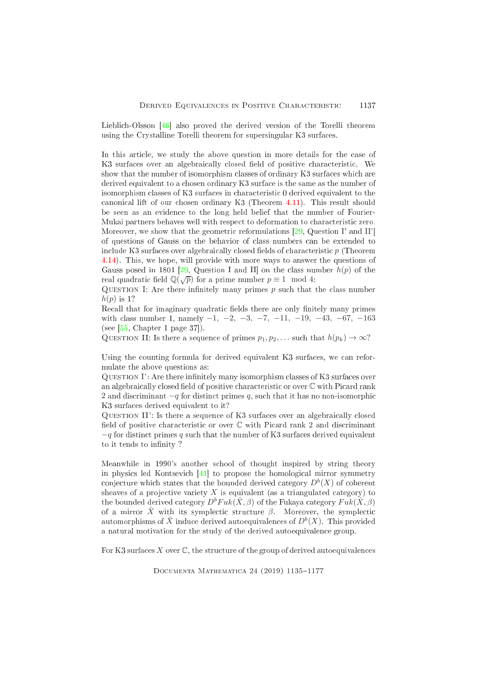Lieblich-Olsson  $[46]$  also proved the derived version of the Torelli theorem using the Crystalline Torelli theorem for supersingular K3 surfa
es.

In this article, we study the above question in more details for the case of K3 surfaces over an algebraically closed field of positive characteristic. We show that the number of isomorphism classes of ordinary K3 surfaces which are derived equivalent to a chosen ordinary K3 surface is the same as the number of isomorphism classes of K3 surfaces in characteristic 0 derived equivalent to the canonical lift of our chosen ordinary K3 (Theorem [4.11\)](#page-31-0). This result should be seen as an eviden
e to the long held belief that the number of Fourier-Mukai partners behaves well with respect to deformation to characteristic zero. Moreover, we show that the geometric reformulations  $[29,$  Question I' and II' of questions of Gauss on the behavior of lass numbers an be extended to include K3 surfaces over algebraically closed fields of characteristic  $p$  (Theorem [4.14\)](#page-32-0). This, we hope, will provide with more ways to answer the questions of Gauss posed in 1801 [\[29,](#page-39-1) Question I and II] on the class number  $h(p)$  of the real quadratic field  $\mathbb{Q}(\sqrt{p})$  for a prime number  $p \equiv 1 \mod 4$ :

QUESTION I: Are there infinitely many primes  $p$  such that the class number  $h(p)$  is 1?

Recall that for imaginary quadratic fields there are only finitely many primes with class number 1, namely  $-1$ ,  $-2$ ,  $-3$ ,  $-7$ ,  $-11$ ,  $-19$ ,  $-43$ ,  $-67$ ,  $-163$ (see  $[55, Chapter 1$  $[55, Chapter 1$  page 37]).

QUESTION II: Is there a sequence of primes  $p_1, p_2, \ldots$  such that  $h(p_k) \to \infty$ ?

Using the counting formula for derived equivalent K3 surfaces, we can reformulate the above questions as:

QUESTION I': Are there infinitely many isomorphism classes of  $K3$  surfaces over an algebraically closed field of positive characteristic or over  $\mathbb C$  with Picard rank 2 and discriminant  $-q$  for distinct primes q, such that it has no non-isomorphic K3 surfa
es derived equivalent to it?

QUESTION II': Is there a sequence of K3 surfaces over an algebraically closed field of positive characteristic or over  $\mathbb C$  with Picard rank 2 and discriminant  $-q$  for distinct primes q such that the number of K3 surfaces derived equivalent to it tends to infinity?

Meanwhile in 1990's another s
hool of thought inspired by string theory in physics led Kontsevich  $[41]$  to propose the homological mirror symmetry conjecture which states that the bounded derived category  $D^b(X)$  of coherent sheaves of a projective variety  $X$  is equivalent (as a triangulated category) to the bounded derived category  $D^bFuk(\check{X},\beta)$  of the Fukaya category  $Fuk(\check{X},\beta)$ of a mirror  $\check{X}$  with its symplectic structure  $\beta$ . Moreover, the symplectic automorphisms of  $\check X$  induce derived autoequivalences of  $D^b(X).$  This provided a natural motivation for the study of the derived autoequivalen
e group.

For K3 surfaces  $X$  over  $\mathbb{C}$ , the structure of the group of derived autoequivalences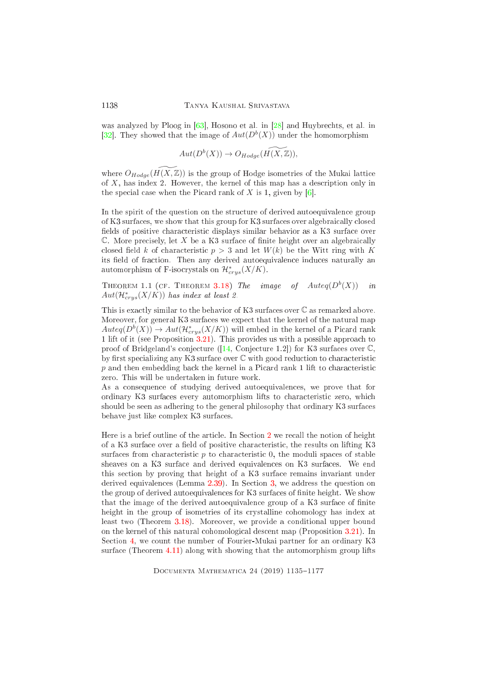was analyzed by Ploog in  $[63]$ , Hosono et al. in  $[28]$  and Huybrechts, et al. in [32]. They showed that the image of  $Aut(D^b(X))$  under the homomorphism

$$
Aut(D^b(X)) \to O_{Hodge}(\widetilde{H(X,\mathbb{Z})}),
$$

where  $O_{Hodge}(H(X,\mathbb{Z}))$  is the group of Hodge isometries of the Mukai lattice of  $X$ , has index 2. However, the kernel of this map has a description only in the special case when the Picard rank of  $X$  is 1, given by [6].

In the spirit of the question on the structure of derived autoequivalence group of K3 surfa
es, we show that this group for K3 surfa
es over algebrai
ally losed fields of positive characteristic displays similar behavior as a K3 surface over  $\mathbb C$ . More precisely, let X be a K3 surface of finite height over an algebraically closed field k of characteristic  $p > 3$  and let  $W(k)$  be the Witt ring with K its field of fraction. Then any derived autoequivalence induces naturally an automorphism of F-isocrystals on  $\mathcal{H}^*_{crys}(X/K)$ .

THEOREM 1.1 (CF. THEOREM [3.18\)](#page-25-0) The image of  $Auteq(D^{b}(X))$  in  $Aut(\mathcal{H}^*_{crys}(X/K))$  has index at least 2.

This is exactly similar to the behavior of K3 surfaces over  $\mathbb C$  as remarked above. Moreover, for general K3 surfa
es we expe
t that the kernel of the natural map  $Auteq(D^{b}(X)) \rightarrow Aut(\mathcal{H}_{crys}^*(X/K))$  will embed in the kernel of a Picard rank <sup>1</sup> lift of it (see Proposition [3.21\)](#page-28-0). This provides us with a possible approa
h to proof of Bridgeland's conjecture  $(14, Conjecture 1.2)$  for K3 surfaces over  $\mathbb{C}$ , by first specializing any K3 surface over  $\mathbb C$  with good reduction to characteristic p and then embedding back the kernel in a Picard rank 1 lift to characteristic zero. This will be undertaken in future work.

As a onsequen
e of studying derived autoequivalen
es, we prove that for ordinary K3 surfaces every automorphism lifts to characteristic zero, which should be seen as adhering to the general philosophy that ordinary K3 surfa
es behave just like omplex K3 surfa
es.

Here is a brief outline of the article. In Section [2](#page-4-0) we recall the notion of height of a K3 surface over a field of positive characteristic, the results on lifting K3 surfaces from characteristic  $p$  to characteristic  $0$ , the moduli spaces of stable sheaves on a K3 surface and derived equivalences on K3 surfaces. We end this se
tion by proving that height of a K3 surfa
e remains invariant under derived equivalences (Lemma [2.39\)](#page-17-0). In Section [3,](#page-17-1) we address the question on the group of derived autoequivalences for K3 surfaces of finite height. We show that the image of the derived autoequivalence group of a K3 surface of finite height in the group of isometries of its crystalline cohomology has index at least two (Theorem [3.18\)](#page-25-0). Moreover, we provide a conditional upper bound on the kernel of this natural ohomologi
al des
ent map (Proposition [3.21\)](#page-28-0). In Section [4,](#page-28-1) we count the number of Fourier-Mukai partner for an ordinary K3 surfa
e (Theorem [4.11\)](#page-31-0) along with showing that the automorphism group lifts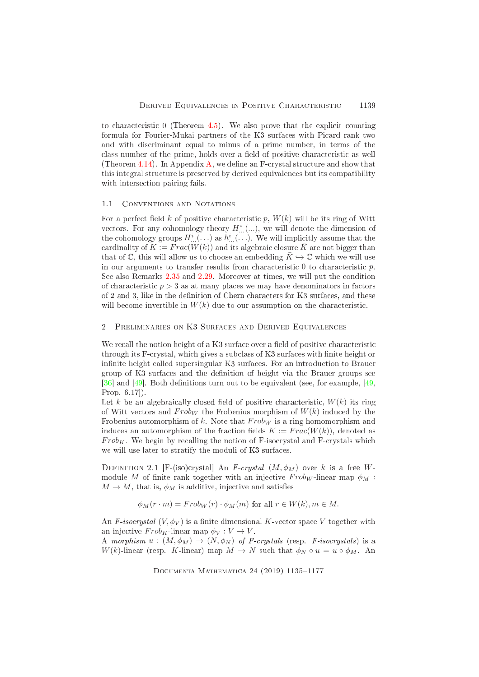to characteristic 0 (Theorem [4.5\)](#page-30-0). We also prove that the explicit counting formula for Fourier-Mukai partners of the K3 surfaces with Picard rank two and with dis
riminant equal to minus of a prime number, in terms of the class number of the prime, holds over a field of positive characteristic as well (Theorem [4.14\)](#page-32-0). In Appendix [A,](#page-33-0) we define an F-crystal structure and show that this integral structure is preserved by derived equivalences but its compatibility with interse
tion pairing fails.

#### <span id="page-4-1"></span> $1.1$ CONVENTIONS AND NOTATIONS

For a perfect field k of positive characteristic p,  $W(k)$  will be its ring of Witt vectors. For any cohomology theory  $H^*_{...}(...)$ , we will denote the dimension of the cohomology groups  $H^i_{...}(\ldots)$  as  $h^i_{...}(\ldots)$ . We will implicitly assume that the cardinality of  $K := Frac(W(k))$  and its algebraic closure  $\overline{K}$  are not bigger than that of  $\mathbb{C}$ , this will allow us to choose an embedding  $\bar{K} \hookrightarrow \mathbb{C}$  which we will use in our arguments to transfer results from characteristic  $0$  to characteristic  $p$ . See also Remarks [2.35](#page-15-0) and [2.29.](#page-13-1) Moreover at times, we will put the condition of characteristic  $p > 3$  as at many places we may have denominators in factors of 2 and 3, like in the definition of Chern characters for K3 surfaces, and these will become invertible in  $W(k)$  due to our assumption on the characteristic.

#### <span id="page-4-0"></span> $\overline{2}$ PRELIMINARIES ON K3 SURFACES AND DERIVED EQUIVALENCES

We recall the notion height of a K3 surface over a field of positive characteristic through its F-crystal, which gives a subclass of K3 surfaces with finite height or infinite height called supersingular K3 surfaces. For an introduction to Brauer group of K3 surfaces and the definition of height via the Brauer groups see [36] and [49]. Both definitions turn out to be equivalent (see, for example, [\[49,](#page-40-4) Prop.  $6.17$ .

Let k be an algebraically closed field of positive characteristic,  $W(k)$  its ring of Witt vectors and  $Frob_W$  the Frobenius morphism of  $W(k)$  induced by the Frobenius automorphism of k. Note that  $Frob_W$  is a ring homomorphism and induces an automorphism of the fraction fields  $K := Frac(W(k))$ , denoted as  $Frob_K$ . We begin by recalling the notion of F-isocrystal and F-crystals which we will use later to stratify the moduli of K3 surfa
es.

<span id="page-4-2"></span>DEFINITION 2.1 [F-(iso)crystal] An F-crystal  $(M, \phi_M)$  over k is a free Wmodule M of finite rank together with an injective  $Frob_W$ -linear map  $\phi_M$ :  $M \to M$ , that is,  $\phi_M$  is additive, injective and satisfies

$$
\phi_M(r \cdot m) = Frob_W(r) \cdot \phi_M(m)
$$
 for all  $r \in W(k), m \in M$ .

An F-isocrystal  $(V, \phi_V)$  is a finite dimensional K-vector space V together with an injective  $Frob_K$ -linear map  $\phi_V : V \to V$ .

A morphism  $u:(M, \phi_M) \to (N, \phi_N)$  of F-crystals (resp. F-isocrystals) is a  $W(k)$ -linear (resp. K-linear) map  $M \to N$  such that  $\phi_N \circ u = u \circ \phi_M$ . An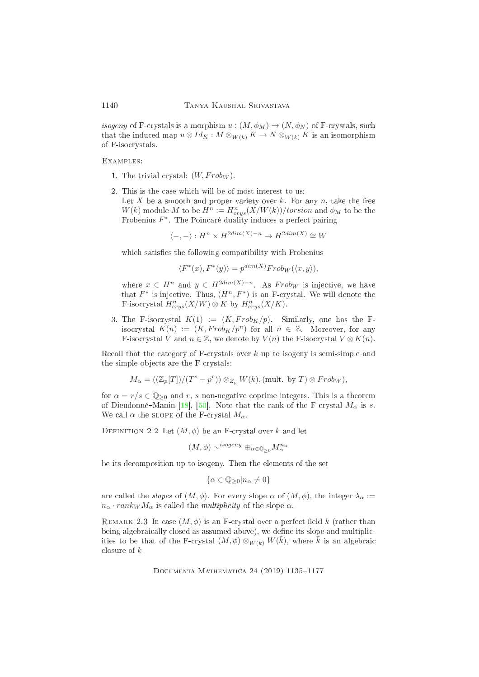isogeny of F-crystals is a morphism  $u:(M, \phi_M) \to (N, \phi_N)$  of F-crystals, such that the induced map  $u \otimes Id_K : M \otimes_{W(k)} K \to N \otimes_{W(k)} K$  is an isomorphism of F-iso
rystals.

Examples:

- 1. The trivial crystal:  $(W, Frob_W)$ .
- 2. This is the ase whi
h will be of most interest to us: Let X be a smooth and proper variety over k. For any n, take the free  $W(k)$  module M to be  $H^n := H^n_{crys}(X/W(k))/torsion$  and  $\phi_M$  to be the Frobenius  $F^*$ . The Poincaré duality induces a perfect pairing

 $\langle -, - \rangle : H^n \times H^{2dim(X)-n} \to H^{2dim(X)} \cong W$ 

which satisfies the following compatibility with Frobenius

$$
\langle F^*(x), F^*(y) \rangle = p^{\dim(X)} Frob_W(\langle x, y \rangle),
$$

where  $x \in H^n$  and  $y \in H^{2dim(X)-n}$ . As  $Frob_W$  is injective, we have that  $F^*$  is injective. Thus,  $(H^n, F^*)$  is an F-crystal. We will denote the F-isocrystal  $H^n_{crys}(X/W)\otimes K$  by  $H^n_{crys}(X/K)$ .

3. The F-isocrystal  $K(1) := (K, Frob_K/p)$ . Similarly, one has the Fisocrystal  $K(n) := (K, Frob_K/p^n)$  for all  $n \in \mathbb{Z}$ . Moreover, for any F-isocrystal V and  $n \in \mathbb{Z}$ , we denote by  $V(n)$  the F-isocrystal  $V \otimes K(n)$ .

Recall that the category of F-crystals over k up to isogeny is semi-simple and the simple objects are the F-crystals:

$$
M_{\alpha} = ((\mathbb{Z}_{p}[T])/(T^{s} - p^{r})) \otimes_{Z_{p}} W(k), (\text{mult. by } T) \otimes Frob_{W}),
$$

for  $\alpha = r/s \in \mathbb{Q}_{\geq 0}$  and r, s non-negative coprime integers. This is a theorem of Dieudonné–Manin [18], [50]. Note that the rank of the F-crystal  $M_{\alpha}$  is s. We call  $\alpha$  the slope of the F-crystal  $M_{\alpha}$ .

DEFINITION 2.2 Let  $(M, \phi)$  be an F-crystal over k and let

$$
(M,\phi) \sim^{isogeny} \oplus_{\alpha \in \mathbb{Q}_{\geq 0}} M_{\alpha}^{n_{\alpha}}
$$

be its de
omposition up to isogeny. Then the elements of the set

$$
\{\alpha \in \mathbb{Q}_{\geq 0} | n_{\alpha} \neq 0\}
$$

are called the *slopes* of  $(M, \phi)$ . For every slope  $\alpha$  of  $(M, \phi)$ , the integer  $\lambda_{\alpha} :=$  $n_{\alpha} \cdot rank_{W} M_{\alpha}$  is called the *multiplicity* of the slope  $\alpha$ .

REMARK 2.3 In case  $(M, \phi)$  is an F-crystal over a perfect field k (rather than being algebraically closed as assumed above), we define its slope and multiplicities to be that of the F-crystal  $(M, \phi) \otimes_{W(k)} W(\overline{k})$ , where  $\overline{k}$  is an algebraic closure of  $k$ .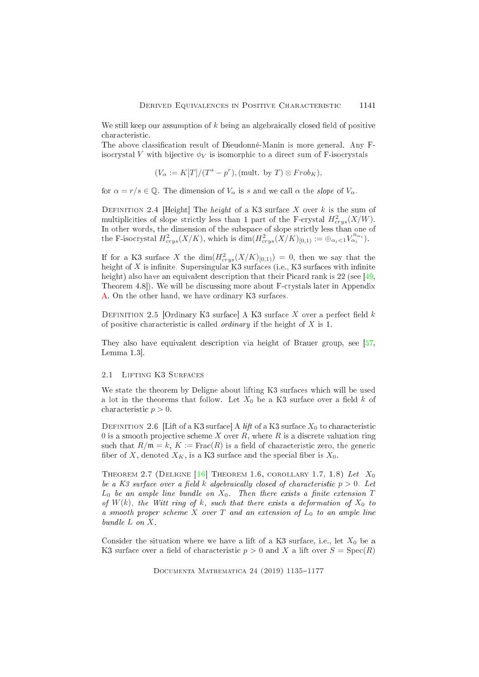We still keep our assumption of  $k$  being an algebraically closed field of positive characteristic.

The above classification result of Dieudonné-Manin is more general. Any Fisocrystal V with bijective  $\phi_V$  is isomorphic to a direct sum of F-isocrystals

$$
(V_{\alpha} := K[T]/(T^s - p^r), (\text{mult. by } T) \otimes Frob_K),
$$

for  $\alpha = r/s \in \mathbb{Q}$ . The dimension of  $V_{\alpha}$  is s and we call  $\alpha$  the slope of  $V_{\alpha}$ .

DEFINITION 2.4 [Height] The *height* of a K3 surface X over k is the sum of multiplicities of slope strictly less than 1 part of the F-crystal  $H^2_{crys}(X/W)$ . In other words, the dimension of the subspa
e of slope stri
tly less than one of the F-isocrystal  $H^2_{crys}(X/K)$ , which is  $\dim(H^2_{crys}(X/K)_{[0,1)} := \bigoplus_{\alpha_i < 1} V_{\alpha_i}^{n_{\alpha_i}}$ .

If for a K3 surface X the  $\dim(H^2_{crys}(X/K)_{[0,1)})=0$ , then we say that the height of X is infinite. Supersingular  $K3$  surfaces (i.e.,  $K3$  surfaces with infinite height) also have an equivalent description that their Picard rank is  $22$  (see [\[49,](#page-40-4) Theorem 4.8]). We will be discussing more about F-crystals later in Appendix [A.](#page-33-0) On the other hand, we have ordinary K3 surfa
es.

DEFINITION 2.5 [Ordinary K3 surface] A K3 surface X over a perfect field  $k$ of positive characteristic is called *ordinary* if the height of  $X$  is 1.

They also have equivalent description via height of Brauer group, see [\[57,](#page-41-5) Lemma  $1.3$ .

# 2.1 LIFTING K3 SURFACES

We state the theorem by Deligne about lifting K3 surfaces which will be used a lot in the theorems that follow. Let  $X_0$  be a K3 surface over a field k of characteristic  $p > 0$ .

DEFINITION 2.6 Lift of a K3 surface A lift of a K3 surface  $X_0$  to characteristic 0 is a smooth projective scheme X over R, where R is a discrete valuation ring such that  $R/\mathfrak{m} = k$ ,  $K := \text{Frac}(R)$  is a field of characteristic zero, the generic fiber of X, denoted  $X_K$ , is a K3 surface and the special fiber is  $X_0$ .

<span id="page-6-0"></span>THEOREM 2.7 (DELIGNE [16] THEOREM 1.6, COROLLARY 1.7, 1.8) Let  $X_0$ be a K3 surface over a field k algebraically closed of characteristic  $p > 0$ . Let  $L_0$  be an ample line bundle on  $X_0$ . Then there exists a finite extension T of  $W(k)$ , the Witt ring of k, such that there exists a deformation of  $X_0$  to a smooth proper scheme X over T and an extension of  $L_0$  to an ample line  $bundle\ L\ on\ X.$ 

Consider the situation where we have a lift of a K3 surface, i.e., let  $X_0$  be a K3 surface over a field of characteristic  $p > 0$  and X a lift over  $S = \text{Spec}(R)$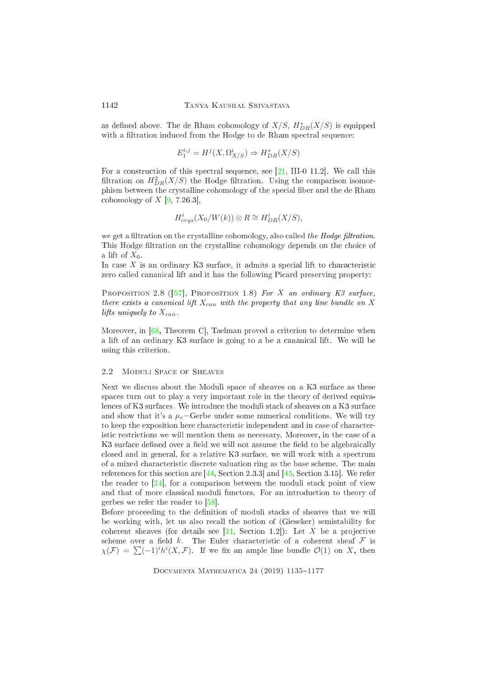as defined above. The de Rham cohomology of  $X/S, \ H^*_{DR}(X/S)$  is equipped with a filtration induced from the Hodge to de Rham spectral sequence:

$$
E_1^{i,j} = H^j(X, \Omega^i_{X/S}) \Rightarrow H^*_{DR}(X/S)
$$

For a construction of this spectral sequence, see  $[21, III-0 11.2]$  $[21, III-0 11.2]$ . We call this filtration on  $H^2_{DR}(X/S)$  the Hodge filtration. Using the comparison isomorphism between the crystalline cohomology of the special fiber and the de Rham cohomology of  $X$  [\[9,](#page-38-5) 7.26.3],

$$
H^i_{crys}(X_0/W(k))\otimes R\cong H^i_{DR}(X/S),
$$

we get a filtration on the crystalline cohomology, also called the Hodge filtration. This Hodge filtration on the crystalline cohomology depends on the choice of a lift of  $X_0$ .

In case  $X$  is an ordinary K3 surface, it admits a special lift to characteristic zero called cananical lift and it has the following Picard preserving property:

PROPOSITION 2.8 ([57], PROPOSITION 1.8) For X an ordinary K3 surface, there exists a canonical lift  $X_{can}$  with the property that any line bundle on X lifts uniquely to  $X_{can}$ .

Moreover, in  $[68,$  Theorem C, Taelman proved a criterion to determine when a lift of an ordinary K3 surface is going to a be a cananical lift. We will be using this criterion.

### 2.2 Moduli Spa
e of Sheaves

Next we discuss about the Moduli space of sheaves on a K3 surface as these spa
es turn out to play a very important role in the theory of derived equivalences of K3 surfaces. We introduce the moduli stack of sheaves on a K3 surface and show that it's a  $\mu_r$ -Gerbe under some numerical conditions. We will try to keep the exposition here characteristic independent and in case of characteristic restrictions we will mention them as necessary. Moreover, in the case of a K3 surface defined over a field we will not assume the field to be algebraically closed and in general, for a relative K3 surface, we will work with a spectrum of a mixed hara
teristi dis
rete valuation ring as the base s
heme. The main references for this section are  $[44, Section 2.3.3]$  $[44, Section 2.3.3]$  and  $[45, Section 3.15]$  $[45, Section 3.15]$ . We refer the reader to  $[24]$ , for a comparison between the moduli stack point of view and that of more classical moduli functors. For an introduction to theory of gerbes we refer the reader to  $[58]$ .

Before proceeding to the definition of moduli stacks of sheaves that we will be working with, let us also re
all the notion of (Gieseker) semistability for coherent sheaves (for details see  $[31,$  Section 1.2]): Let X be a projective scheme over a field  $k$ . The Euler characteristic of a coherent sheaf  $\mathcal F$  is  $\chi(\mathcal{F}) = \sum_{i} (-1)^{i} h^{i}(X, \mathcal{F})$ . If we fix an ample line bundle  $\mathcal{O}(1)$  on X, then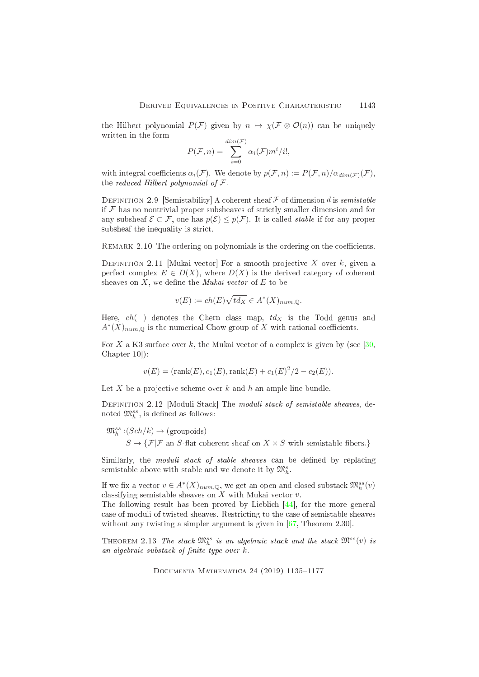the Hilbert polynomial  $P(\mathcal{F})$  given by  $n \mapsto \chi(\mathcal{F} \otimes \mathcal{O}(n))$  can be uniquely written in the form

$$
P(\mathcal{F}, n) = \sum_{i=0}^{dim(\mathcal{F})} \alpha_i(\mathcal{F}) m^i/i!,
$$

with integral coefficients  $\alpha_i(\mathcal{F})$ . We denote by  $p(\mathcal{F}, n) := P(\mathcal{F}, n)/\alpha_{dim(\mathcal{F})}(\mathcal{F})$ , the reduced Hilbert polynomial of  $\mathcal F$ .

DEFINITION 2.9 [Semistability] A coherent sheaf  $\mathcal F$  of dimension d is semistable if  $\mathcal F$  has no nontrivial proper subsheaves of strictly smaller dimension and for any subsheaf  $\mathcal{E} \subset \mathcal{F}$ , one has  $p(\mathcal{E}) \leq p(\mathcal{F})$ . It is called *stable* if for any proper subsheaf the inequality is stri
t.

<span id="page-8-1"></span>REMARK 2.10 The ordering on polynomials is the ordering on the coefficients.

DEFINITION 2.11 [Mukai vector] For a smooth projective X over  $k$ , given a perfect complex  $E \in D(X)$ , where  $D(X)$  is the derived category of coherent sheaves on  $X$ , we define the *Mukai vector* of  $E$  to be

$$
v(E) := ch(E)\sqrt{td_X} \in A^*(X)_{num, \mathbb{Q}}.
$$

Here,  $ch(-)$  denotes the Chern class map,  $td<sub>X</sub>$  is the Todd genus and  $A^*(X)_{num, \mathbb{Q}}$  is the numerical Chow group of X with rational coefficients.

For X a K3 surface over k, the Mukai vector of a complex is given by (see  $[30,$ Chapter  $10$ :

$$
v(E) = (rank(E), c_1(E), rank(E) + c_1(E)^2/2 - c_2(E)).
$$

Let X be a projective scheme over  $k$  and  $h$  an ample line bundle.

DEFINITION 2.12 [Moduli Stack] The moduli stack of semistable sheaves, denoted  $\mathfrak{M}_{h}^{ss}$ , is defined as follows:

 $\mathfrak{M}_{h}^{ss}:\left(Sch/k\right)\to\left(\text{groupoids}\right)$  $S \mapsto \{ \mathcal{F} | \mathcal{F} \text{ an } S\text{-flat coherent sheaf on } X \times S \text{ with semistable fibers.} \}$ 

Similarly, the *moduli stack of stable sheaves* can be defined by replacing semistable above with stable and we denote it by  $\mathfrak{M}^s_h$ .

If we fix a vector  $v \in A^*(X)_{num, \mathbb{Q}}$ , we get an open and closed substack  $\mathfrak{M}_h^{ss}(v)$ classifying semistable sheaves on  $X$  with Mukai vector  $v$ .

The following result has been proved by Lieblich  $[44]$ , for the more general ase of moduli of twisted sheaves. Restri
ting to the ase of semistable sheaves without any twisting a simpler argument is given in  $[67,$  Theorem 2.30.

<span id="page-8-0"></span>THEOREM 2.13 The stack  $\mathfrak{M}^{ss}_{h}$  is an algebraic stack and the stack  $\mathfrak{M}^{ss}(v)$  is an algebraic substack of finite type over  $k$ .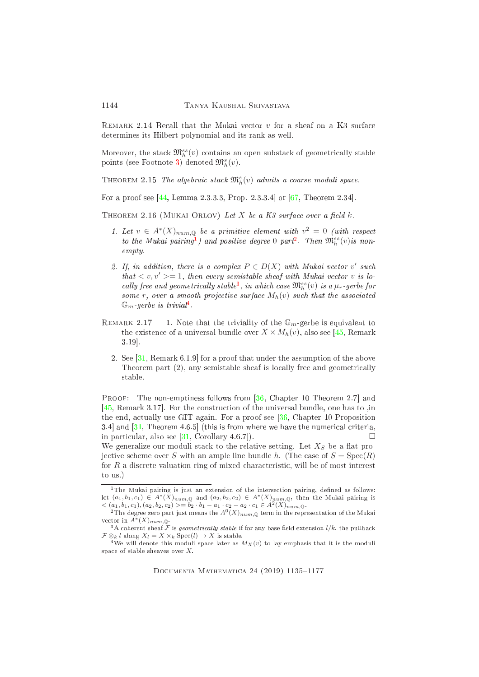REMARK 2.14 Recall that the Mukai vector  $v$  for a sheaf on a K3 surface determines its Hilbert polynomial and its rank as well.

Moreover, the stack  $\mathfrak{M}^{ss}_h(v)$  contains an open substack of geometrically stable points (see Footnote [3\)](#page-9-0) denoted  $\mathfrak{M}^s_h(v)$ .

THEOREM 2.15 The algebraic stack  $\mathfrak{M}^s_h(v)$  admits a coarse moduli space.

For a proof see  $[44,$  Lemma 2.3.3.3, Prop. 2.3.3.4 or  $[67,$  Theorem 2.34.

THEOREM 2.16 (MUKAI-ORLOV) Let X be a K3 surface over a field  $k$ .

- 1. Let  $v \in A^*(X)_{num, \mathbb{Q}}$  $v \in A^*(X)_{num, \mathbb{Q}}$  $v \in A^*(X)_{num, \mathbb{Q}}$  be a primitive element with  $v^2 = 0$  (with respect to the Mukai pairing<sup>1</sup>) and positive degree 0 part<sup>2</sup>. Then  $\mathfrak{M}_{h}^{ss}(v)$  is nonempty.
- 2. If, in addition, there is a complex  $P \in D(X)$  with Mukai vector v' such that  $\langle v, v' \rangle = 1$ , then every semistable sheaf with Mukai vector v is lo-cally free and geometrically stable<sup>[3](#page-9-0)</sup>, in which case  $\mathfrak{M}_{h}^{ss}(v)$  is a  $\mu_r$ -gerbe for some r, over a smooth projective surface  $M_h(v)$  such that the associated  $\mathbb{G}_m$  gerbe is trivial<sup>4</sup>.
- REMARK 2.17 1. Note that the triviality of the  $\mathbb{G}_m$ -gerbe is equivalent to the existence of a universal bundle over  $X \times M_h(v)$ , also see [\[45,](#page-40-1) Remark] 3.19].
	- 2. See  $[31,$  Remark 6.1.9 for a proof that under the assumption of the above Theorem part (2), any semistable sheaf is locally free and geometrically stable.

PROOF: The non-emptiness follows from [\[36,](#page-40-0) Chapter 10 Theorem 2.7] and [ $45$ , Remark 3.17]. For the construction of the universal bundle, one has to ,in the end, a
tually use GIT again. For a proof see [\[36,](#page-40-0) Chapter 10 Proposition  $3.4$  and  $\left[31, \text{Theorem } 4.6.5\right]$  $\left[31, \text{Theorem } 4.6.5\right]$  $\left[31, \text{Theorem } 4.6.5\right]$  (this is from where we have the numerical criteria, in particular, also see [\[31,](#page-39-6) Corollary 4.6.7]).  $\Box$ We generalize our moduli stack to the relative setting. Let  $X<sub>S</sub>$  be a flat pro-

jective scheme over S with an ample line bundle h. (The case of  $S = \text{Spec}(R)$ ) for  $R$  a discrete valuation ring of mixed characteristic, will be of most interest to us.)

<span id="page-9-1"></span><sup>&</sup>lt;sup>1</sup>The Mukai pairing is just an extension of the intersection pairing, defined as follows: let  $(a_1, b_1, c_1) \in A^*(X)_{num, \mathbb{Q}}$  and  $(a_2, b_2, c_2) \in A^*(X)_{num, \mathbb{Q}}$ , then the Mukai pairing is  $\langle (a_1, b_1, c_1), (a_2, b_2, c_2) \rangle = b_2 \cdot b_1 - a_1 \cdot c_2 - a_2 \cdot c_1 \in \hat{A}^2(X)_{num, \mathbb{Q}}$ .<br>
<sup>2</sup>The degree zero part just means the  $A^0(X)_{num, \mathbb{Q}}$  term in the representation of the Mukai

<span id="page-9-2"></span>vector in  $A^*(X)_{num,Q}$ .

<span id="page-9-0"></span> $^3\mathrm{A}$  coherent sheaf  ${\cal F}$  is geometrically stable if for any base field extension  $l/k,$  the pullback  $\mathcal{F} \otimes_k l$  along  $X_l = X \times_k \text{Spec}(l) \to X$  is stable.

<span id="page-9-3"></span> $^4\rm{We}$  will denote this moduli space later as  $M_X(v)$  to lay emphasis that it is the moduli space of stable sheaves over X.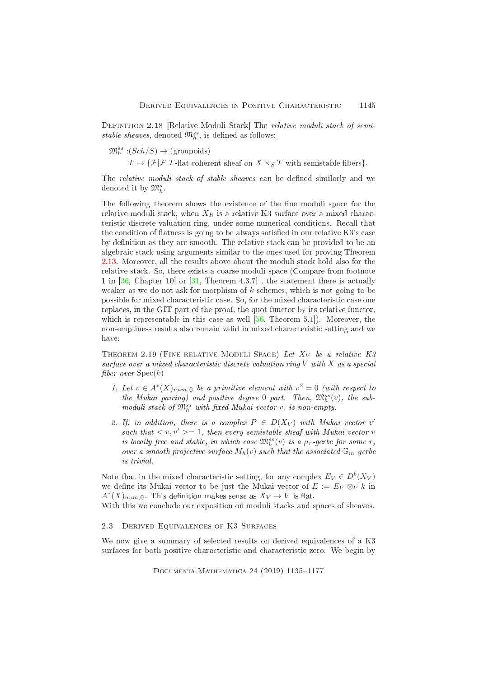DEFINITION 2.18 [Relative Moduli Stack] The relative moduli stack of semistable sheaves, denoted  $\mathfrak{M}^{ss}_{h}$ , is defined as follows:

 $\mathfrak{M}_{h}^{ss}:\left(Sch/S\right)\to\left(\text{groupoids}\right)$ 

 $T\mapsto \{\mathcal{F}|\mathcal{F}% (T+Z)\}<\infty$   $T$  -flat coherent sheaf on  $X\times_{S}T$  with semistable fibers}.

The *relative moduli stack of stable sheaves* can be defined similarly and we denoted it by  $\mathfrak{M}^s_h$ .

The following theorem shows the existence of the fine moduli space for the relative moduli stack, when  $X_R$  is a relative K3 surface over a mixed characteristi dis
rete valuation ring, under some numeri
al onditions. Re
all that the condition of flatness is going to be always satisfied in our relative K3's case by definition as they are smooth. The relative stack can be provided to be an algebraic stack using arguments similar to the ones used for proving Theorem [2.13.](#page-8-0) Moreover, all the results above about the moduli stack hold also for the relative sta
k. So, there exists a oarse moduli spa
e (Compare from footnote 1 in  $[36, Chapter 10]$  $[36, Chapter 10]$  or  $[31, Theorem 4.3.7]$  $[31, Theorem 4.3.7]$ , the statement there is actually weaker as we do not ask for morphism of  $k$ -schemes, which is not going to be possible for mixed characteristic case. So, for the mixed characteristic case one replaces, in the GIT part of the proof, the quot functor by its relative functor, which is representable in this case as well  $[56,$  Theorem 5.1.]). Moreover, the non-emptiness results also remain valid in mixed characteristic setting and we have:

THEOREM 2.19 (FINE RELATIVE MODULI SPACE) Let  $X_V$  be a relative K3  $surface over a mixed characteristic discrete valuation ring V with X as a special$ fiber over  $Spec(k)$ 

- 1. Let  $v \in A^*(X)_{num, \mathbb{Q}}$  be a primitive element with  $v^2 = 0$  (with respect to the Mukai pairing) and positive degree 0 part. Then,  $\mathfrak{M}^{ss}_h(v)$ , the submoduli stack of  $\mathfrak{M}^{ss}_{h}$  with fixed Mukai vector v, is non-empty.
- 2. If, in addition, there is a complex  $P \in D(X_V)$  with Mukai vector v' such that  $\langle v, v' \rangle = 1$ , then every semistable sheaf with Mukai vector v is locally free and stable, in which case  $\mathfrak{M}_{h}^{ss}(v)$  is a  $\mu_r$ -gerbe for some r, over a smooth projective surface  $M_h(v)$  such that the associated  $\mathbb{G}_m$ -gerbe is trivial.

Note that in the mixed characteristic setting, for any complex  $E_V \in D^b(X_V)$ we define its Mukai vector to be just the Mukai vector of  $E := E_V \otimes_V k$  in  $A^*(X)_{num, \mathbb{Q}}$ . This definition makes sense as  $X_V \to V$  is flat.

With this we conclude our exposition on moduli stacks and spaces of sheaves.

# 2.3 DERIVED EQUIVALENCES OF K3 SURFACES

We now give a summary of selected results on derived equivalences of a K3 surfaces for both positive characteristic and characteristic zero. We begin by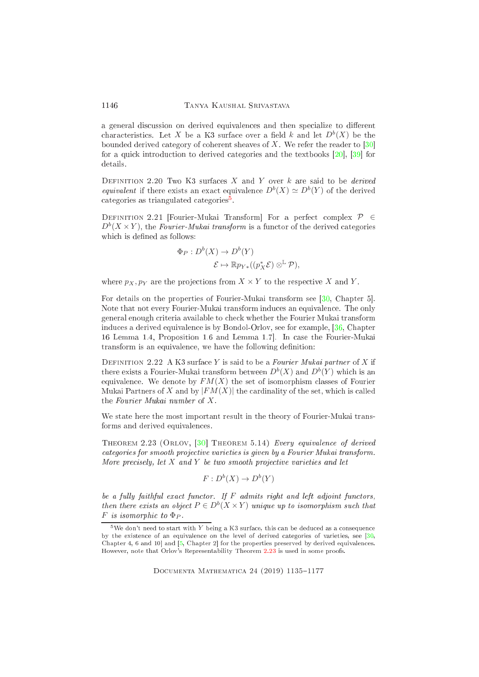a general discussion on derived equivalences and then specialize to different characteristics. Let X be a K3 surface over a field k and let  $D^b(X)$  be the bounded derived category of coherent sheaves of  $X$ . We refer the reader to [30] for a quick introduction to derived categories and the textbooks  $[20]$ ,  $[39]$  for details.

DEFINITION 2.20 Two K3 surfaces  $X$  and  $Y$  over  $k$  are said to be *derived* equivalent if there exists an exact equivalence  $D^b(X) \simeq D^b(Y)$  of the derived categories as triangulated categories .

DEFINITION 2.21 [Fourier-Mukai Transform] For a perfect complex  $\mathcal{P} \in$  $D^b(X \times Y)$ , the *Fourier-Mukai transform* is a functor of the derived categories which is defined as follows:

$$
\Phi_P: D^b(X) \to D^b(Y)
$$
  

$$
\mathcal{E} \mapsto \mathbb{R} p_{Y*}((p_X^*\mathcal{E}) \otimes^{\mathbb{L}} \mathcal{P}),
$$

where  $p_X, p_Y$  are the projections from  $X \times Y$  to the respective X and Y.

For details on the properties of Fourier-Mukai transform see [\[30,](#page-39-0) Chapter 5]. Note that not every Fourier-Mukai transform induces an equivalence. The only general enough riteria available to he
k whether the Fourier Mukai transform indu
es a derived equivalen
e is by Bondol-Orlov, see for example, [\[36,](#page-40-0) Chapter 16 Lemma 1.4, Proposition 1.6 and Lemma 1.7. In case the Fourier-Mukai transform is an equivalence, we have the following definition:

DEFINITION 2.22 A K3 surface Y is said to be a Fourier Mukai partner of X if there exists a Fourier-Mukai transform between  $D^b(X)$  and  $D^b(Y)$  which is an equivalence. We denote by  $FM(X)$  the set of isomorphism classes of Fourier Mukai Partners of X and by  $|FM(X)|$  the cardinality of the set, which is called the Fourier Mukai number of X .

<span id="page-11-1"></span>We state here the most important result in the theory of Fourier-Mukai transforms and derived equivalen
es.

THEOREM 2.23 (ORLOV,  $[30]$  THEOREM 5.14) Every equivalence of derived ategories for smooth proje
tive varieties is given by a Fourier Mukai transform. More precisely, let  $X$  and  $Y$  be two smooth projective varieties and let

$$
F: D^b(X) \to D^b(Y)
$$

be a fully faithful exact functor. If  $F$  admits right and left adjoint functors, then there exists an object  $P \in D^b(X \times Y)$  unique up to isomorphism such that  $F$  is isomorphic to  $\Phi_P$ .

DOCUMENTA MATHEMATICA 24 (2019) 1135-1177

1146

<span id="page-11-0"></span><sup>&</sup>lt;sup>5</sup>We don't need to start with Y being a K3 surface, this can be deduced as a consequence by the existen
e of an equivalen
e on the level of derived ategories of varieties, see [\[30,](#page-39-0) Chapter 4, 6 and 10 and  $[5,$  Chapter 2 for the properties preserved by derived equivalences. However, note that Orlov's Representability Theorem [2.23](#page-11-1) is used in some proofs.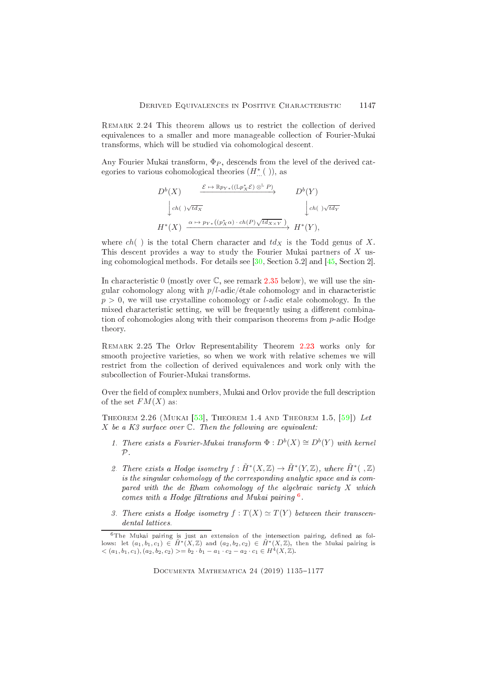REMARK 2.24 This theorem allows us to restrict the collection of derived equivalences to a smaller and more manageable collection of Fourier-Mukai transforms, which will be studied via cohomological descent.

Any Fourier Mukai transform,  $\Phi_P$ , descends from the level of the derived categories to various cohomological theories  $(H^*_{...}(\ ) ),$  as

$$
D^{b}(X) \xrightarrow{\mathcal{E} \mapsto \mathbb{R}p_{Y*}((\mathbb{L}p_{X}^{*}\mathcal{E})\otimes^{\mathbb{L}}P)} D^{b}(Y)
$$
  
\n
$$
\downarrow ch(\sqrt{td_{X}} \qquad \qquad D^{b}(Y)
$$
  
\n
$$
H^{*}(X) \xrightarrow{\alpha \mapsto p_{Y*}((p_{X}^{*}\alpha) \cdot ch(P)\sqrt{td_{X\times Y}})} H^{*}(Y),
$$

where  $ch()$  is the total Chern character and  $td_X$  is the Todd genus of X. This des
ent provides a way to study the Fourier Mukai partners of X using cohomological methods. For details see  $[30, Section 5.2]$  $[30, Section 5.2]$  and  $[45, Section 2]$  $[45, Section 2]$ .

In characteristic 0 (mostly over  $\mathbb{C}$ , see remark [2.35](#page-15-0) below), we will use the singular cohomology along with  $p/l$ -adic/étale cohomology and in characteristic  $p > 0$ , we will use crystalline cohomology or *l*-adic etale cohomology. In the mixed characteristic setting, we will be frequently using a different combination of cohomologies along with their comparison theorems from *p*-adic Hodge theory.

Remark 2.25 The Orlov Representability Theorem [2.23](#page-11-1) works only for smooth projective varieties, so when we work with relative schemes we will restrict from the collection of derived equivalences and work only with the subcollection of Fourier-Mukai transforms.

<span id="page-12-1"></span>Over the field of complex numbers, Mukai and Orlov provide the full description of the set  $FM(X)$  as:

THEOREM 2.26 (MUKAI  $[53]$ , THEOREM 1.4 AND THEOREM 1.5,  $[59]$ ) Let X be a K3 surface over  $\mathbb C$ . Then the following are equivalent:

- 1. There exists a Fourier-Mukai transform  $\Phi: D^b(X) \cong D^b(Y)$  with kernel  $\mathcal P$ .
- 2. There exists a Hodge isometry  $f: \tilde{H}^*(X,\mathbb{Z}) \to \tilde{H}^*(Y,\mathbb{Z})$ , where  $\tilde{H}^*(\mathcal{A},\mathbb{Z})$ is the singular cohomology of the corresponding analytic space and is compared with the de Rham cohomology of the algebraic variety  $X$  which comes with a Hoage futrations and Mukai pairing.
- 3. There exists a Hodge isometry  $f: T(X) \simeq T(Y)$  between their transcendental latti
es.

<span id="page-12-0"></span> $6$ The Mukai pairing is just an extension of the intersection pairing, defined as follows: let  $(a_1, b_1, c_1) \in \tilde{H}^*(X, \mathbb{Z})$  and  $(a_2, b_2, c_2) \in \tilde{H}^*(X, \mathbb{Z})$ , then the Mukai pairing is  $< (a_1, b_1, c_1), (a_2, b_2, c_2) > = b_2 \cdot b_1 - a_1 \cdot c_2 - a_2 \cdot c_1 \in H^4(X, \mathbb{Z}).$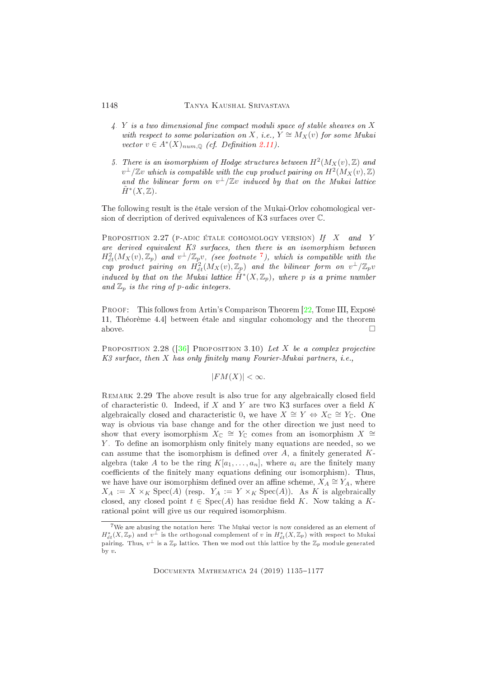# 1148 Tanya Kaushal Srivastava

- $\mathcal{A}$ . Y is a two dimensional fine compact moduli space of stable sheaves on X with respect to some polarization on X, i.e.,  $Y \cong M_X(v)$  for some Mukai vector  $v \in A^*(X)_{num, \mathbb{Q}}$  (cf. Definition [2.11\)](#page-8-1).
- 5. There is an isomorphism of Hodge structures between  $H^2(M_X(v),\mathbb{Z})$  and  $v^\perp/\mathbb{Z} v$  which is compatible with the cup product pairing on  $H^2(M_X(v),\mathbb{Z})$ and the bilinear form on  $v^{\perp}/\mathbb{Z}v$  induced by that on the Mukai lattice  $\tilde{H}^*(X,\mathbb{Z})$ .

<span id="page-13-3"></span>The following result is the étale version of the Mukai-Orlov cohomological version of de
ription of derived equivalen
es of K3 surfa
es over C.

PROPOSITION 2.27 (P-ADIC ÉTALE COHOMOLOGY VERSION) If X and Y are derived equivalent K3 surfa
es, then there is an isomorphism between  $H^2_{\acute{e}t}(M_X(v),{\mathbb Z}_p)$  and  $v^{\perp}/{\mathbb Z}_p v,$  (see footnote  $^7)$  $^7)$  $^7)$ , which is compatible with the cup product pairing on  $H^2_{\acute{e}t}(M_X(v),{\mathbb Z}_p)$  and the bilinear form on  $v^{\perp}/\mathbb{Z}_p v$ induced by that on the Mukai lattice  $\tilde{H}^*(X,\mathbb{Z}_p)$ , where p is a prime number and  $\mathbb{Z}_p$  is the ring of p-adic integers.

<span id="page-13-0"></span>PROOF: This follows from Artin's Comparison Theorem [\[22,](#page-39-7) Tome III, Exposé 11, Théorème 4.4 between étale and singular cohomology and the theorem above.  $\Box$ 

PROPOSITION 2.28 ([36] PROPOSITION 3.10) Let X be a complex projective  $K3$  surface, then X has only finitely many Fourier-Mukai partners, i.e.,

$$
|FM(X)| < \infty.
$$

<span id="page-13-1"></span>REMARK 2.29 The above result is also true for any algebraically closed field of characteristic 0. Indeed, if  $X$  and  $Y$  are two K3 surfaces over a field  $K$ algebraically closed and characteristic 0, we have  $X \cong Y \Leftrightarrow X_{\mathbb{C}} \cong Y_{\mathbb{C}}$ . One way is obvious via base hange and for the other dire
tion we just need to show that every isomorphism  $X_\mathbb{C} \cong Y_\mathbb{C}$  comes from an isomorphism  $X \cong$  $Y$ . To define an isomorphism only finitely many equations are needed, so we can assume that the isomorphism is defined over  $A$ , a finitely generated  $K$ algebra (take A to be the ring  $K[a_1, \ldots, a_n]$ , where  $a_i$  are the finitely many coefficients of the finitely many equations defining our isomorphism). Thus, we have have our isomorphism defined over an affine scheme,  $X_A \cong Y_A,$  where  $X_A := X \times_K \text{Spec}(A)$  (resp.  $Y_A := Y \times_K \text{Spec}(A)$ ). As K is algebraically closed, any closed point  $t \in \text{Spec}(A)$  has residue field K. Now taking a Krational point will give us our required isomorphism.

<span id="page-13-2"></span><sup>7</sup>We are abusing the notation here: The Mukai ve
tor is now onsidered as an element of  $H^*_{\acute{e}t}(X,\Z_p)$  and  $v^\perp$  is the orthogonal complement of  $v$  in  $H^*_{\acute{e}t}(X,\Z_p)$  with respect to Mukai pairing. Thus,  $v^{\perp}$  is a  $\mathbb{Z}_p$  lattice. Then we mod out this lattice by the  $\mathbb{Z}_p$  module generated by v.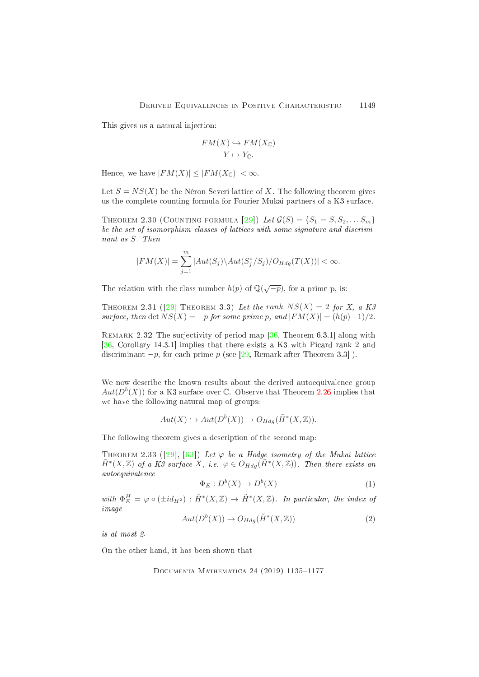This gives us a natural injection:

$$
FM(X) \hookrightarrow FM(X_{\mathbb{C}})
$$

$$
Y \mapsto Y_{\mathbb{C}}.
$$

Hence, we have  $|FM(X)| \leq |FM(X_{\mathbb{C}})| \leq \infty$ .

<span id="page-14-1"></span>Let  $S = NS(X)$  be the Néron-Severi lattice of X. The following theorem gives us the omplete ounting formula for Fourier-Mukai partners of a K3 surfa
e.

THEOREM 2.30 (COUNTING FORMULA [29]) Let  $\mathcal{G}(S) = \{S_1 = S, S_2, \ldots S_m\}$ be the set of isomorphism classes of lattices with same signature and discriminant as S. Then

$$
|FM(X)| = \sum_{j=1}^{m} |Aut(S_j) \setminus Aut(S_j^*/S_j) / O_{Hdg}(T(X))| < \infty.
$$

<span id="page-14-0"></span>The relation with the class number  $h(p)$  of  $\mathbb{Q}(\sqrt{-p})$ , for a prime p, is:

THEOREM 2.31 ([29] THEOREM 3.3) Let the rank  $NS(X) = 2$  for X, a K3 surface, then det  $NS(X) = -p$  for some prime p, and  $|FM(X)| = (h(p)+1)/2$ .

REMARK 2.32 The surjectivity of period map  $[36,$  Theorem 6.3.1 along with [\[36,](#page-40-0) Corollary 14.3.1] implies that there exists a K3 with Picard rank 2 and discriminant  $-p$ , for each prime p (see [\[29,](#page-39-1) Remark after Theorem 3.3]).

We now describe the known results about the derived autoequivalence group  $Aut(D^b(X))$  for a K3 surface over C. Observe that Theorem [2.26](#page-12-1) implies that we have the following natural map of groups:

$$
Aut(X) \hookrightarrow Aut(D^b(X)) \to O_{Hdg}(\tilde{H}^*(X,\mathbb{Z})).
$$

The following theorem gives a description of the second map:

THEOREM 2.33 ([29], [63]) Let  $\varphi$  be a Hodge isometry of the Mukai lattice  $\tilde{H}^*(X,\mathbb{Z})$  of a K3 surface X, i.e.  $\varphi \in O_{Hdg}(\tilde{H}^*(X,\mathbb{Z}))$ . Then there exists an autoequivalen
e

$$
\Phi_E: D^b(X) \to D^b(X) \tag{1}
$$

with  $\Phi_E^H = \varphi \circ (\pm id_{H^2}) : \tilde{H}^*(X, \mathbb{Z}) \to \tilde{H}^*(X, \mathbb{Z})$ . In particular, the index of image

$$
Aut(D^b(X)) \to O_{Hdg}(\tilde{H}^*(X,\mathbb{Z}))
$$
\n(2)

is at most 2.

On the other hand, it has been shown that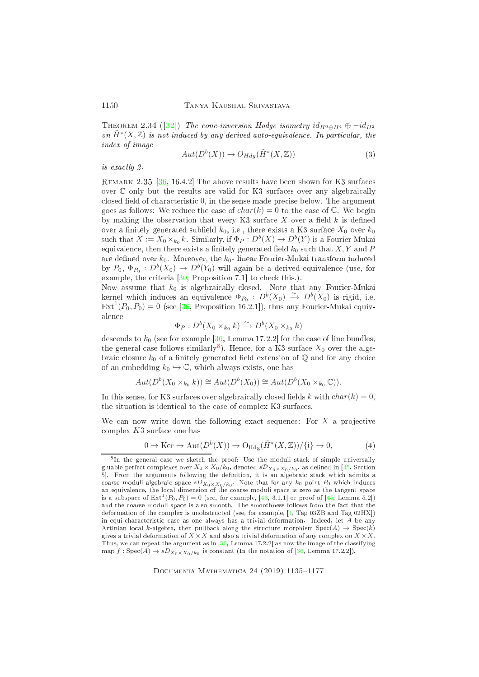THEOREM 2.34 ([32]) The cone-inversion Hodge isometry  $id_{H^0 \oplus H^4} \oplus -id_{H^2}$ on  $\tilde{H}^*(X,\mathbb{Z})$  is not induced by any derived auto-equivalence. In particular, the index of image

$$
Aut(D^b(X)) \to O_{Hdg}(\tilde{H}^*(X,\mathbb{Z}))
$$
\n(3)

<span id="page-15-0"></span>is exa
tly 2.

REMARK 2.35  $[36, 16.4.2]$  $[36, 16.4.2]$  The above results have been shown for K3 surfaces over  $\mathbb C$  only but the results are valid for K3 surfaces over any algebraically closed field of characteristic 0, in the sense made precise below. The argument goes as follows: We reduce the case of  $char(k) = 0$  to the case of  $\mathbb{C}$ . We begin by making the observation that every K3 surface  $X$  over a field  $k$  is defined over a finitely generated subfield  $k_0$ , i.e., there exists a K3 surface  $X_0$  over  $k_0$ such that  $X := X_0 \times_{k_0} k$ . Similarly, if  $\Phi_P : D^b(X) \to D^b(Y)$  is a Fourier Mukai equivalence, then there exists a finitely generated field  $k_0$  such that  $X, Y$  and  $P$ are defined over  $k_0$ . Moreover, the  $k_0$ -linear Fourier-Mukai transform induced by  $P_0$ ,  $\Phi_{P_0} : D^b(X_0) \to D^b(Y_0)$  will again be a derived equivalence (use, for example, the criteria  $[30,$  Proposition 7.1 to check this.).

Now assume that  $k_0$  is algebraically closed. Note that any Fourier-Mukai kernel which induces an equivalence  $\Phi_{P_0}: D^b(X_0) \longrightarrow D^b(X_0)$  is rigid, i.e.  $\text{Ext}^{1}(P_{0}, P_{0}) = 0$  (see [\[36,](#page-40-0) Proposition 16.2.1]), thus any Fourier-Mukai equivalen
e

$$
\Phi_P: D^b(X_0 \times_{k_0} k) \xrightarrow{\sim} D^b(X_0 \times_{k_0} k)
$$

descends to  $k_0$  (see for example [\[36,](#page-40-0) Lemma 17.2.2] for the case of line bundles, the general case follows similarly<sup>8</sup>). Hence, for a K3 surface  $X_0$  over the algebraic closure  $k_0$  of a finitely generated field extension of  $\mathbb Q$  and for any choice of an embedding  $k_0 \hookrightarrow \mathbb{C}$ , which always exists, one has

$$
Aut(D^b(X_0 \times_{k_0} k)) \cong Aut(D^b(X_0)) \cong Aut(D^b(X_0 \times_{k_0} \mathbb{C})).
$$

In this sense, for K3 surfaces over algebraically closed fields k with  $char(k) = 0$ , the situation is identical to the case of complex K3 surfaces.

We can now write down the following exact sequence: For  $X$  a projective omplex K3 surfa
e one has

$$
0 \to \text{Ker} \to \text{Aut}(D^b(X)) \to \text{O}_{\text{Hdg}}(\tilde{H}^*(X,\mathbb{Z})) / \{i\} \to 0,
$$
 (4)

<span id="page-15-1"></span>In the general case we sketch the proof: Use the moduli stack of simple universally gluable perfect complexes over  $X_0\times X_0/k_0,$  denoted  $s\mathcal{D}_{X_0\times X_0/k_0},$  as defined in [\[45,](#page-40-1) Section 5]. From the arguments following the definition, it is an algebraic stack which admits a coarse moduli algebraic space  $sD_{X_0\times X_0/k_0}$ . Note that for any  $k_0$  point  $P_0$  which induces an equivalen
e, the lo
al dimension of the oarse moduli spa
e is zero as the tangent spa
e is a subspace of  $Ext^1(P_0, P_0) = 0$  (see, for example, [\[43,](#page-40-8) 3.1.1] or proof of [\[45,](#page-40-1) Lemma 5.2]) and the coarse moduli space is also smooth. The smoothness follows from the fact that the deformation of the complex is unobstructed (see, for example, [\[1,](#page-37-2) Tag 03ZB and Tag 02HX]) in equi-characteristic case as one always has a trivial deformation. Indeed, let  $A$  be any Artinian local k-algebra, then pullback along the structure morphism  $Spec(A) \rightarrow Spec(k)$ gives a trivial deformation of  $X \times X$  and also a trivial deformation of any complex on  $X \times X$ . Thus, we can repeat the argument as in [\[36,](#page-40-0) Lemma 17.2.2] as now the image of the classifying map  $f: \text{Spec}(A) \to sD_{X_0 \times X_0/k_0}$  is constant (In the notation of [\[36,](#page-40-0) Lemma 17.2.2]).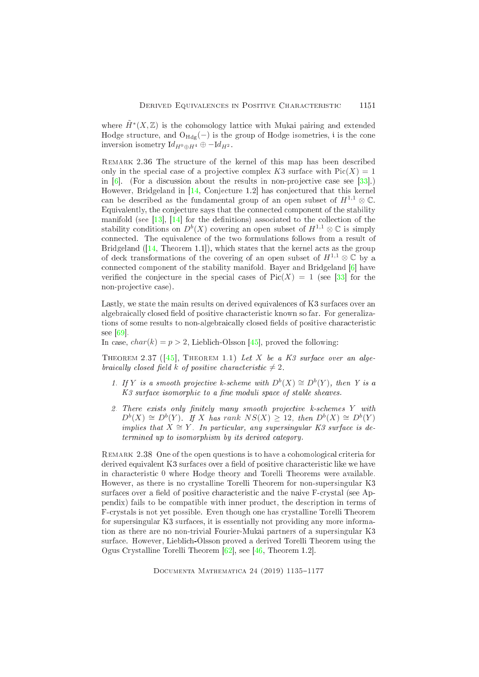where  $\tilde{H}^*(X,\mathbb{Z})$  is the cohomology lattice with Mukai pairing and extended Hodge structure, and  $O_{Hdg}(-)$  is the group of Hodge isometries, i is the cone inversion isometry  $Id_{H^0\oplus H^4}\oplus -Id_{H^2}$ .

REMARK 2.36 The structure of the kernel of this map has been described only in the special case of a projective complex K3 surface with  $Pic(X) = 1$ in  $[6]$ . (For a discussion about the results in non-projective case see  $[33]$ .) However, Bridgeland in [\[14,](#page-38-2) Conjecture 1.2] has conjectured that this kernel can be described as the fundamental group of an open subset of  $H^{1,1} \otimes \mathbb{C}$ . Equivalently, the conjecture says that the connected component of the stability manifold (see  $[13]$ ,  $[14]$  for the definitions) associated to the collection of the stability conditions on  $D^b(X)$  covering an open subset of  $H^{1,1} \otimes \mathbb{C}$  is simply onne
ted. The equivalen
e of the two formulations follows from a result of Bridgeland  $(14,$  Theorem 1.1,), which states that the kernel acts as the group of deck transformations of the covering of an open subset of  $H^{1,1} \otimes \mathbb{C}$  by a connected component of the stability manifold. Bayer and Bridgeland  $[6]$  have verified the conjecture in the special cases of  $Pic(X) = 1$  (see [33] for the non-projective case).

Lastly, we state the main results on derived equivalences of K3 surfaces over an algebraically closed field of positive characteristic known so far. For generalizations of some results to non-algebraically closed fields of positive characteristic see  $[69]$ .

In case,  $char(k) = p > 2$ , Lieblich-Olsson [45], proved the following:

THEOREM 2.37 ( $[45]$ , THEOREM 1.1) Let X be a K3 surface over an algebraically closed field k of positive characteristic  $\neq 2$ 

- <span id="page-16-0"></span>1. If Y is a smooth projective k-scheme with  $D^b(X) \cong D^b(Y)$ , then Y is a K<sub>3</sub> surface isomorphic to a fine moduli space of stable sheaves.
- 2. There exists only finitely many smooth projective k-schemes Y with  $D^{b}(X) \cong D^{b}(Y)$ . If X has rank  $NS(X) \geq 12$ , then  $D^{b}(X) \cong D^{b}(Y)$ implies that  $X \cong Y$ . In particular, any supersingular K3 surface is determined up to isomorphism by its derived ategory.

REMARK 2.38 One of the open questions is to have a cohomological criteria for derived equivalent K3 surfaces over a field of positive characteristic like we have in hara
teristi 0 where Hodge theory and Torelli Theorems were available. However, as there is no crystalline Torelli Theorem for non-supersingular K3 surfaces over a field of positive characteristic and the naive F-crystal (see Appendix) fails to be ompatible with inner produ
t, the des
ription in terms of Frystals is not yet possible. Even though one has rystalline Torelli Theorem for supersingular K3 surfa
es, it is essentially not providing any more information as there are no non-trivial Fourier-Mukai partners of a supersingular K3 surfa
e. However, Liebli
h-Olsson proved a derived Torelli Theorem using the Ogus Crystalline Torelli Theorem  $[62]$ , see  $[46,$  Theorem 1.2.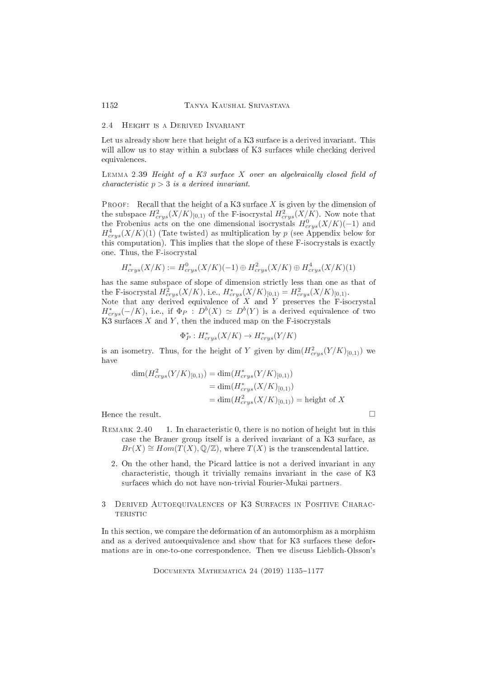### 2.4 Height is a Derived Invariant

Let us already show here that height of a K3 surface is a derived invariant. This will allow us to stay within a subclass of K3 surfaces while checking derived equivalen
es.

<span id="page-17-0"></span>LEMMA 2.39 Height of a  $K3$  surface X over an algebraically closed field of characteristic  $p > 3$  is a derived invariant.

**PROOF:** Recall that the height of a K3 surface  $X$  is given by the dimension of the subspace  $H^2_{crys}(X/K)_{[0,1)}$  of the F-isocrystal  $H^2_{crys}(X/K)$ . Now note that the Frobenius acts on the one dimensional isocrystals  $H^0_{crys}(X/K)(-1)$  and  $H^4_{crys}(X/K)(1)$  (Tate twisted) as multiplication by p (see Appendix below for this computation). This implies that the slope of these F-isocrystals is exactly one. Thus, the F-iso
rystal

$$
H^*_{crys}(X/K) := H^0_{crys}(X/K)(-1) \oplus H^2_{crys}(X/K) \oplus H^4_{crys}(X/K)(1)
$$

has the same subspa
e of slope of dimension stri
tly less than one as that of the F-isocrystal  $H^2_{crys}(X/K)$ , i.e.,  $H^*_{crys}(X/K)_{[0,1)} = H^2_{crys}(X/K)_{[0,1)}$ . Note that any derived equivalence of  $X$  and  $Y$  preserves the F-isocrystal  $H^*_{crys}(-/K)$ , i.e., if  $\Phi_P$ :  $D^b(X) \simeq D^b(Y)$  is a derived equivalence of two K3 surfaces  $X$  and  $Y$ , then the induced map on the F-isocrystals

$$
\Phi_P^* : H^*_{crys}(X/K) \to H^*_{crys}(Y/K)
$$

is an isometry. Thus, for the height of Y given by  $\dim(H_{crys}^2(Y/K)_{[0,1)})$  we have

$$
\dim(H_{crys}^2(Y/K)_{[0,1)}) = \dim(H_{crys}^*(Y/K)_{[0,1)})
$$
  
= 
$$
\dim(H_{crys}^*(X/K)_{[0,1)})
$$
  
= 
$$
\dim(H_{crys}^2(X/K)_{[0,1)}) = \text{height of } X
$$

Hence the result.

- REMARK 2.40 1. In characteristic 0, there is no notion of height but in this case the Brauer group itself is a derived invariant of a K3 surface, as  $Br(X) \cong Hom(T(X), \mathbb{Q}/\mathbb{Z})$ , where  $T(X)$  is the transcendental lattice.
	- 2. On the other hand, the Picard lattice is not a derived invariant in any characteristic, though it trivially remains invariant in the case of K3 surfa
	es whi
	h do not have non-trivial Fourier-Mukai partners.
- <span id="page-17-1"></span>3 DERIVED AUTOEQUIVALENCES OF K3 SURFACES IN POSITIVE CHARAC-TERISTIC

In this se
tion, we ompare the deformation of an automorphism as a morphism and as a derived autoequivalen
e and show that for K3 surfa
es these deformations are in one-to-one correspondence. Then we discuss Lieblich-Olsson's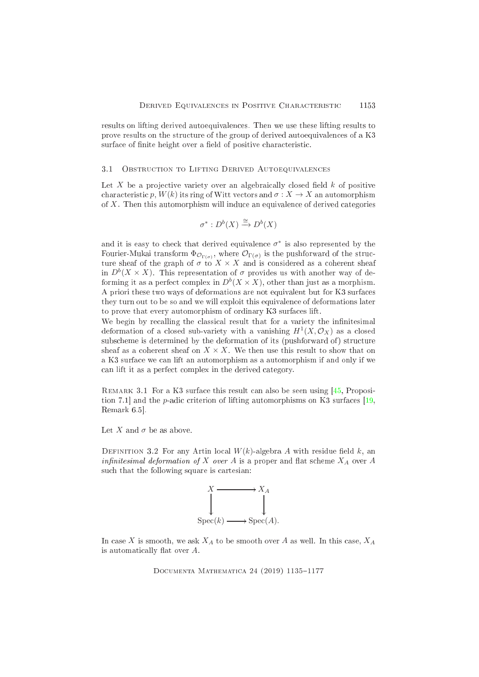results on lifting derived autoequivalen
es. Then we use these lifting results to prove results on the structure of the group of derived autoequivalences of a K3 surface of finite height over a field of positive characteristic.

# 3.1 OBSTRUCTION TO LIFTING DERIVED AUTOEQUIVALENCES

Let X be a projective variety over an algebraically closed field  $k$  of positive characteristic p,  $W(k)$  its ring of Witt vectors and  $\sigma: X \to X$  an automorphism of  $X$ . Then this automorphism will induce an equivalence of derived categories

$$
\sigma^*: D^b(X) \xrightarrow{\cong} D^b(X)
$$

and it is easy to check that derived equivalence  $\sigma^*$  is also represented by the Fourier-Mukai transform  $\Phi_{\mathcal{O}_{\Gamma(\sigma)}}$ , where  $\mathcal{O}_{\Gamma(\sigma)}$  is the pushforward of the structure sheaf of the graph of  $\sigma$  to  $X \times X$  and is considered as a coherent sheaf in  $D^b(X \times X)$ . This representation of  $\sigma$  provides us with another way of deforming it as a perfect complex in  $D^b(X \times X)$ , other than just as a morphism. A priori these two ways of deformations are not equivalent but for K3 surfa
es they turn out to be so and we will exploit this equivalen
e of deformations later to prove that every automorphism of ordinary K3 surfa
es lift.

We begin by recalling the classical result that for a variety the infinitesimal deformation of a closed sub-variety with a vanishing  $H^1(X, \mathcal{O}_X)$  as a closed subscheme is determined by the deformation of its (pushforward of) structure sheaf as a coherent sheaf on  $X \times X$ . We then use this result to show that on a K3 surfa
e we an lift an automorphism as a automorphism if and only if we an lift it as a perfe
t omplex in the derived ategory.

REMARK 3.1 For a K3 surface this result can also be seen using [\[45,](#page-40-1) Proposition 7.1 and the *p*-adic criterion of lifting automorphisms on K3 surfaces  $[19,$ Remark 6.5.

Let X and  $\sigma$  be as above.

DEFINITION 3.2 For any Artin local  $W(k)$ -algebra A with residue field k, an infinitesimal deformation of X over A is a proper and flat scheme  $X_A$  over A such that the following square is cartesian:



In case X is smooth, we ask  $X_A$  to be smooth over A as well. In this case,  $X_A$ is automatically flat over  $A$ .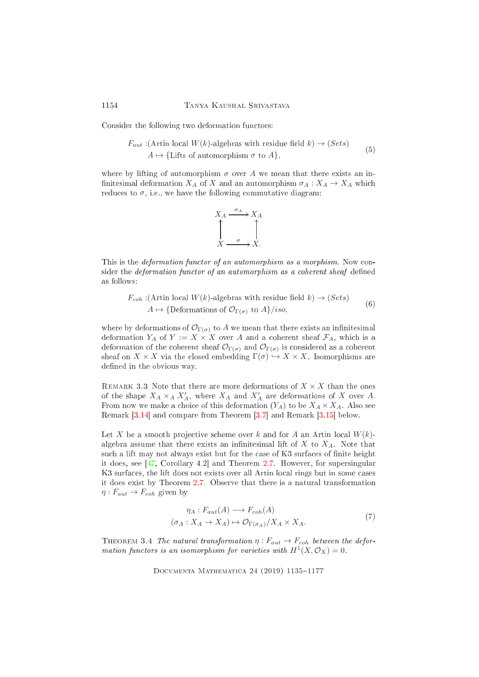Consider the following two deformation functors:

$$
F_{aut} : (\text{Artin local } W(k)\text{-algebras with residue field } k) \to (Sets)
$$
  

$$
A \mapsto \{\text{Lifts of automorphism } \sigma \text{ to } A\},
$$
 (5)

where by lifting of automorphism  $\sigma$  over A we mean that there exists an infinitesimal deformation  $X_A$  of X and an automorphism  $\sigma_A: X_A \to X_A$  which reduces to  $\sigma$ , i.e., we have the following commutative diagram:



This is the *deformation functor of an automorphism as a morphism*. Now consider the *deformation functor of an automorphism as a coherent sheaf* defined as follows:

 $F_{coh}$ :(Artin local  $W(k)$ -algebras with residue field  $k) \rightarrow (Sets)$ A  $\mapsto$  {Deformations of  $\mathcal{O}_{\Gamma(\sigma)}$  to  $A$ }/iso, (6)

where by deformations of  $\mathcal{O}_{\Gamma(\sigma)}$  to A we mean that there exists an infinitesimal deformation  $Y_A$  of  $Y := X \times X$  over A and a coherent sheaf  $\mathcal{F}_A$ , which is a deformation of the coherent sheaf  $U_{\Gamma(\sigma)}$  and  $U_{\Gamma(\sigma)}$  is considered as a coherent sheaf on  $X \times X$  via the closed embedding  $\Gamma(\sigma) \hookrightarrow X \times X$ . Isomorphisms are defined in the obvious way.

REMARK 3.3 Note that there are more deformations of  $X \times X$  than the ones of the shape  $X_A \times_A X'_A$ , where  $X_A$  and  $X'_A$  are deformations of X over A. From now we make a choice of this deformation  $(Y_A)$  to be  $X_A \times X_A$ . Also see Remark  $[3.14]$  and compare from Theorem  $[3.7]$  and Remark  $[3.15]$  below.

Let X be a smooth projective scheme over k and for A an Artin local  $W(k)$ algebra assume that there exists an infinitesimal lift of  $X$  to  $X_A$ . Note that such a lift may not always exist but for the case of K3 surfaces of finite height it does, see  $[47, Corollary 4.2]$  $[47, Corollary 4.2]$  and Theorem [2.7.](#page-6-0) However, for supersingular K3 surfaces, the lift does not exists over all Artin local rings but in some cases it does exist by Theorem [2.7.](#page-6-0) Observe that there is a natural transformation  $\eta: F_{aut} \to F_{coh}$  given by

$$
\eta_A: F_{aut}(A) \longrightarrow F_{coh}(A)
$$
  

$$
(\sigma_A: X_A \to X_A) \mapsto \mathcal{O}_{\Gamma(\sigma_A)}/X_A \times X_A.
$$
 (7)

<span id="page-19-0"></span>THEOREM 3.4 The natural transformation  $\eta : F_{aut} \to F_{coh}$  between the deformation functors is an isomorphism for varieties with  $H^1(X, \mathcal{O}_X) = 0$ .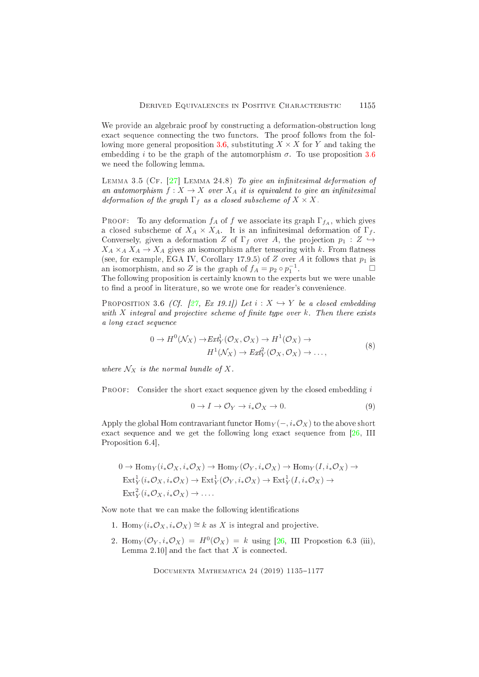We provide an algebraic proof by constructing a deformation-obstruction long exact sequence connecting the two functors. The proof follows from the following more general proposition 3.6, substituting  $X \times X$  for Y and taking the embedding *i* to be the graph of the automorphism  $\sigma$ . To use proposition 3.6 we need the following lemma.

<span id="page-20-1"></span>LEMMA 3.5 (CF.  $[27]$  LEMMA 24.8) To give an infinitesimal deformation of an automorphism  $f: X \to X$  over  $X_A$  it is equivalent to give an infinitesimal deformation of the graph  $\Gamma_f$  as a closed subscheme of  $X \times X$ .

**PROOF:** To any deformation  $f_A$  of f we associate its graph  $\Gamma_{f_A}$ , which gives a closed subscheme of  $X_A \times X_A$ . It is an infinitesimal deformation of  $\Gamma_f$ . Conversely, given a deformation Z of  $\Gamma_f$  over A, the projection  $p_1: Z \hookrightarrow$  $X_A \times_A X_A \to X_A$  gives an isomorphism after tensoring with k. From flatness (see, for example, EGA IV, Corollary 17.9.5) of Z over A it follows that  $p_1$  is an isomorphism, and so Z is the graph of  $f_A = p_2 \circ p_1^{-1}$ .  $\Box$ The following proposition is certainly known to the experts but we were unable to find a proof in literature, so we wrote one for reader's convenience.

PROPOSITION 3.6 (Cf. [27, Ex 19.1]) Let  $i: X \hookrightarrow Y$  be a closed embedding with  $X$  integral and projective scheme of finite type over  $k$ . Then there exists a long exact sequence

$$
0 \to H^0(\mathcal{N}_X) \to \mathbb{E}xt^1_Y(\mathcal{O}_X, \mathcal{O}_X) \to H^1(\mathcal{O}_X) \to
$$
  

$$
H^1(\mathcal{N}_X) \to \mathbb{E}xt^2_Y(\mathcal{O}_X, \mathcal{O}_X) \to \dots,
$$
 (8)

where  $\mathcal{N}_X$  is the normal bundle of X.

**PROOF:** Consider the short exact sequence given by the closed embedding  $i$ 

<span id="page-20-0"></span>
$$
0 \to I \to \mathcal{O}_Y \to i_* \mathcal{O}_X \to 0. \tag{9}
$$

Apply the global Hom contravariant functor  $\text{Hom}_Y(-, i_*\mathcal{O}_X)$  to the above short exact sequence and we get the following long exact sequence from [26, III] Proposition 6.4,

$$
0 \to \text{Hom}_Y(i_*\mathcal{O}_X, i_*\mathcal{O}_X) \to \text{Hom}_Y(\mathcal{O}_Y, i_*\mathcal{O}_X) \to \text{Hom}_Y(I, i_*\mathcal{O}_X) \to
$$
  
\n
$$
\text{Ext}^1_Y(i_*\mathcal{O}_X, i_*\mathcal{O}_X) \to \text{Ext}^1_Y(\mathcal{O}_Y, i_*\mathcal{O}_X) \to \text{Ext}^1_Y(I, i_*\mathcal{O}_X) \to
$$
  
\n
$$
\text{Ext}^2_Y(i_*\mathcal{O}_X, i_*\mathcal{O}_X) \to \dots
$$

Now note that we can make the following identifications

- 1. Hom $\gamma(i_{*}\mathcal{O}_{X}, i_{*}\mathcal{O}_{X}) \cong k$  as X is integral and projective.
- 2. Hom $_Y(\mathcal{O}_Y, i_*\mathcal{O}_X) = H^0(\mathcal{O}_X) = k$  using [26, III Propostion 6.3 (iii), Lemma 2.10 and the fact that  $X$  is connected.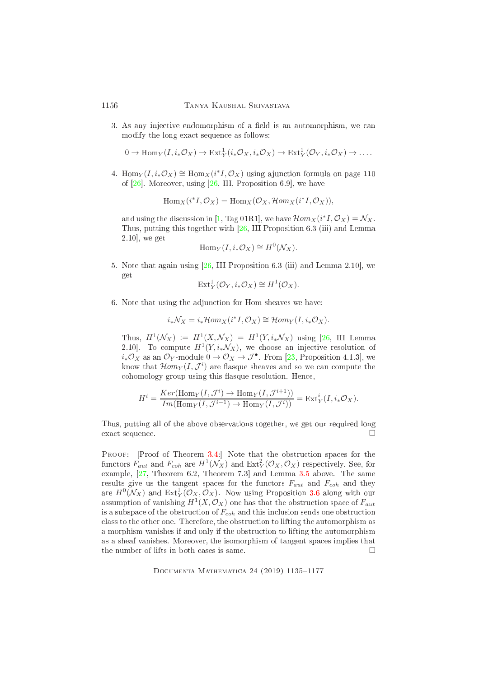3. As any injective endomorphism of a field is an automorphism, we can modify the long exa
t sequen
e as follows:

$$
0 \to \text{Hom}_Y(I, i_*\mathcal{O}_X) \to \text{Ext}^1_Y(i_*\mathcal{O}_X, i_*\mathcal{O}_X) \to \text{Ext}^1_Y(\mathcal{O}_Y, i_*\mathcal{O}_X) \to \dots
$$

4. Hom<sub>Y</sub>( $I, i_*\mathcal{O}_X$ ) ≅ Hom<sub>X</sub>( $i^*I, \mathcal{O}_X$ ) using a junction formula on page 110 of  $[26]$ . Moreover, using  $[26, III,$  $[26, III,$  Proposition 6.9, we have

$$
\operatorname{Hom}_X(i^*I, \mathcal{O}_X) = \operatorname{Hom}_X(\mathcal{O}_X, \mathcal{H}om_X(i^*I, \mathcal{O}_X)),
$$

and using the discussion in [\[1,](#page-37-2) Tag 01R1], we have  $\mathcal{H}om_X(i^*I, \mathcal{O}_X) = \mathcal{N}_X$ . Thus, putting this together with [\[26,](#page-39-10) III Proposition 6.3 (iii) and Lemma  $2.10$ , we get

$$
\mathrm{Hom}_Y(I, i_*\mathcal{O}_X) \cong H^0(\mathcal{N}_X).
$$

5. Note that again using  $[26, III]$  $[26, III]$  Proposition 6.3 (iii) and Lemma 2.10, we get

$$
Ext_Y^1(\mathcal{O}_Y, i_*\mathcal{O}_X) \cong H^1(\mathcal{O}_X).
$$

6. Note that using the adjun
tion for Hom sheaves we have:

$$
i_*\mathcal{N}_X = i_*\mathcal{H}om_X(i^*I, \mathcal{O}_X) \cong \mathcal{H}om_Y(I, i_*\mathcal{O}_X).
$$

Thus,  $H^1(\mathcal{N}_X) := H^1(X, \mathcal{N}_X) = H^1(Y, i_*\mathcal{N}_X)$  using [\[26,](#page-39-10) III Lemma 2.10. To compute  $H^1(Y, i_*\mathcal{N}_X)$ , we choose an injective resolution of  $i_*\mathcal{O}_X$  as an  $\mathcal{O}_Y$ -module  $0 \to \mathcal{O}_X \to \mathcal{J}^\bullet$ . From [\[23,](#page-39-11) Proposition 4.1.3], we know that  $\mathcal{H}om_Y(I, \mathcal{J}^i)$  are flasque sheaves and so we can compute the cohomology group using this flasque resolution. Hence,

$$
H^i = \frac{Ker(\text{Hom}_Y(I, \mathcal{J}^i) \to \text{Hom}_Y(I, \mathcal{J}^{i+1}))}{Im(\text{Hom}_Y(I, \mathcal{J}^{i-1}) \to \text{Hom}_Y(I, \mathcal{J}^i))} = \text{Ext}^i_Y(I, i_*\mathcal{O}_X).
$$

Thus, putting all of the above observations together, we get our required long exact sequence.

PROOF: [Proof of Theorem  $3.4$ :] Note that the obstruction spaces for the functors  $F_{aut}$  and  $F_{coh}$  are  $H^1(\mathcal{N}_X)$  and  $\text{Ext}^2_Y(\mathcal{O}_X, \mathcal{O}_X)$  respectively. See, for example,  $[27,$  Theorem 6.2, Theorem 7.3 and Lemma [3.5](#page-20-1) above. The same results give us the tangent spaces for the functors  $F_{aut}$  and  $F_{coh}$  and they are  $H^0(\mathcal{N}_X)$  and  $\text{Ext}^1_Y(\mathcal{O}_X, \mathcal{O}_X)$ . Now using Proposition [3.6](#page-20-0) along with our assumption of vanishing  $H^1(X, \mathcal{O}_X)$  one has that the obstruction space of  $F_{aut}$ is a subspace of the obstruction of  $F_{coh}$  and this inclusion sends one obstruction lass to the other one. Therefore, the obstru
tion to lifting the automorphism as a morphism vanishes if and only if the obstru
tion to lifting the automorphism as a sheaf vanishes. Moreover, the isomorphism of tangent spa
es implies that the number of lifts in both cases is same.  $\square$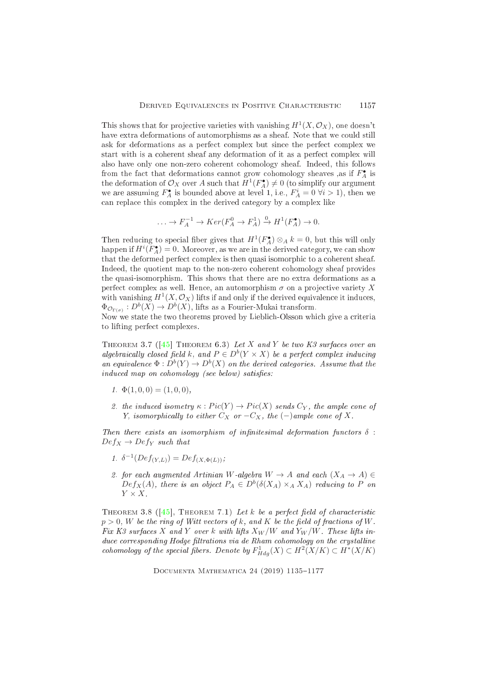This shows that for projective varieties with vanishing  $H^1(X, \mathcal{O}_X)$ , one doesn't have extra deformations of automorphisms as a sheaf. Note that we could still ask for deformations as a perfect complex but since the perfect complex we start with is a coherent sheaf any deformation of it as a perfect complex will also have only one non-zero coherent cohomology sheaf. Indeed, this follows from the fact that deformations cannot grow cohomology sheaves ,as if  $F_4^{\bullet}$  is the deformation of  $\mathcal{O}_X$  over A such that  $H^1(F_A^{\bullet}) \neq 0$  (to simplify our argument we are assuming  $F_A^{\bullet}$  is bounded above at level 1, i.e.,  $F_A^i = 0 \ \forall i > 1$ , then we can replace this complex in the derived category by a complex like

$$
\ldots \to F_A^{-1} \to Ker(F_A^0 \to F_A^1) \xrightarrow{0} H^1(F_A^{\bullet}) \to 0.
$$

Then reducing to special fiber gives that  $H^1(F_A^{\bullet}) \otimes_A k = 0$ , but this will only happen if  $H^{i}(F_{A}^{\bullet})=0$ . Moreover, as we are in the derived category, we can show that the deformed perfect complex is then quasi isomorphic to a coherent sheaf. Indeed, the quotient map to the non-zero coherent cohomology sheaf provides the quasi-isomorphism. This shows that there are no extra deformations as a perfect complex as well. Hence, an automorphism  $\sigma$  on a projective variety X with vanishing  $H^1(X, \mathcal{O}_X)$  lifts if and only if the derived equivalence it induces,  $\Phi_{\mathcal{O}_{\Gamma(\sigma)}}: D^b(X) \to D^b(X)$ , lifts as a Fourier-Mukai transform.

<span id="page-22-0"></span>Now we state the two theorems proved by Lieblich-Olsson which give a criteria to lifting perfect complexes.

THEOREM 3.7 ( $[45]$  THEOREM 6.3) Let X and Y be two K3 surfaces over an algebraically closed field k, and  $P \in D^b(Y \times X)$  be a perfect complex inducing an equivalence  $\Phi: D^b(Y) \to D^b(X)$  on the derived categories. Assume that the induced map on cohomology (see below) satisfies:

- 1.  $\Phi(1,0,0) = (1,0,0),$
- 2. the induced isometry  $\kappa : Pic(Y) \to Pic(X)$  sends  $C_Y$ , the ample cone of Y, isomorphically to either  $C_X$  or  $-C_X$ , the  $(-)$ ample cone of X.

Then there exists an isomorphism of infinitesimal deformation functors  $\delta$ :  $Def_X \to Def_Y$  such that

- 1.  $\delta^{-1}(Def_{(Y,L)}) = Def_{(X,\Phi(L))};$
- 2. for each augmented Artinian W-algebra  $W \rightarrow A$  and each  $(X_A \rightarrow A) \in$  $Def_X(A)$ , there is an object  $P_A \in D^b(\delta(X_A) \times_A X_A)$  reducing to P on  $Y \times X$ .

<span id="page-22-1"></span>THEOREM 3.8 ( $\overline{45}$ ), THEOREM 7.1) Let k be a perfect field of characteristic  $p > 0$ , W be the ring of Witt vectors of k, and K be the field of fractions of W. Fix K3 surfaces X and Y over k with lifts  $X_W/W$  and  $Y_W/W$ . These lifts induce corresponding Hodge filtrations via de Rham cohomology on the crystalline cohomology of the special fibers. Denote by  $F_{Hda}^1(X) \subset H^2(X/K) \subset H^*(X/K)$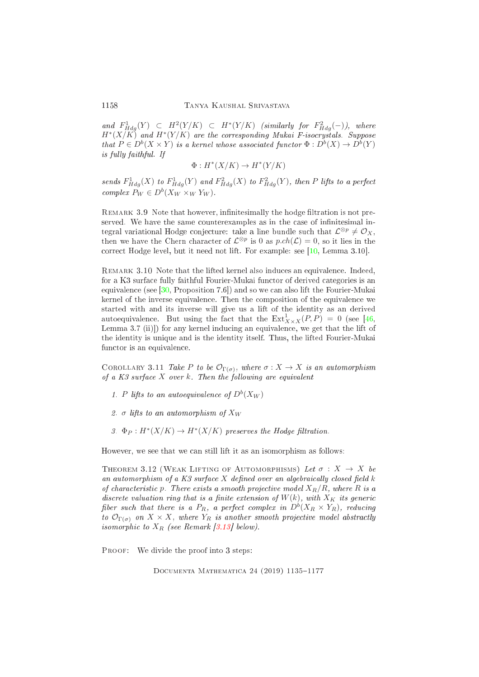and  $F^1_{Hdg}(Y) \subset H^2(Y/K) \subset H^*(Y/K)$  (similarly for  $F^2_{Hdg}(-)$ ), where  $H^{\ast}(X/K)$  and  $H^{\ast}(Y/K)$  are the corresponding Mukai F-isocrystals. Suppose that  $P \in D^b(X \times Y)$  is a kernel whose associated functor  $\Phi: D^b(X) \to D^b(Y)$ is fully faithful. If

$$
\Phi:H^*(X/K)\to H^*(Y/K)
$$

sends  $F^1_{Hdg}(X)$  to  $F^1_{Hdg}(Y)$  and  $F^2_{Hdg}(X)$  to  $F^2_{Hdg}(Y)$ , then P lifts to a perfect complex  $P_W \in D^b(X_W \times_W Y_W)$ .

REMARK 3.9 Note that however, infinitesimally the hodge filtration is not preserved. We have the same counterexamples as in the case of infinitesimal integral variational Hodge conjecture: take a line bundle such that  $\mathcal{L}^{\otimes p} \neq \mathcal{O}_X$ , then we have the Chern character of  $\mathcal{L}^{\otimes p}$  is 0 as  $p.ch(\mathcal{L}) = 0$ , so it lies in the correct Hodge level, but it need not lift. For example: see  $[10, \text{ Lemma } 3.10]$  $[10, \text{ Lemma } 3.10]$ .

REMARK 3.10 Note that the lifted kernel also induces an equivalence. Indeed, for a K3 surfa
e fully faithful Fourier-Mukai fun
tor of derived ategories is an equivalence (see  $[30,$  Proposition 7.6<sup>t</sup>) and so we can also lift the Fourier-Mukai kernel of the inverse equivalen
e. Then the omposition of the equivalen
e we started with and its inverse will give us a lift of the identity as an derived autoequivalence. But using the fact that the  $\text{Ext}^1_{X\times X}(P,P) = 0$  (see [\[46,](#page-40-2) Lemma  $3.7$  (ii)]) for any kernel inducing an equivalence, we get that the lift of the identity is unique and is the identity itself. Thus, the lifted Fourier-Mukai functor is an equivalence.

COROLLARY 3.11 Take P to be  $\mathcal{O}_{\Gamma(\sigma)}$ , where  $\sigma : X \to X$  is an automorphism of a  $K3$  surface X over k. Then the following are equivalent

- 1. P lifts to an autoequivalence of  $D^b(X_W)$
- 2. σ lifts to an automorphism of  $X_W$
- 3.  $\Phi_P: H^*(X/K) \to H^*(X/K)$  preserves the Hodge filtration.

However, we see that we can still lift it as an isomorphism as follows:

THEOREM 3.12 (WEAK LIFTING OF AUTOMORPHISMS) Let  $\sigma : X \rightarrow X$  be an automorphism of a  $K3$  surface  $X$  defined over an algebraically closed field  $k$ of characteristic p. There exists a smooth projective model  $X_R/R$ , where R is a discrete valuation ring that is a finite extension of  $W(k)$ , with  $X_K$  its generic fiber such that there is a  $P_R$ , a perfect complex in  $D^b(X_R \times Y_R)$ , reducing to  $\mathcal{O}_{\Gamma(\sigma)}$  on  $X \times X$ , where  $Y_R$  is another smooth projective model abstractly isomorphic to  $X_R$  (see Remark [3.13] below).

PROOF: We divide the proof into 3 steps: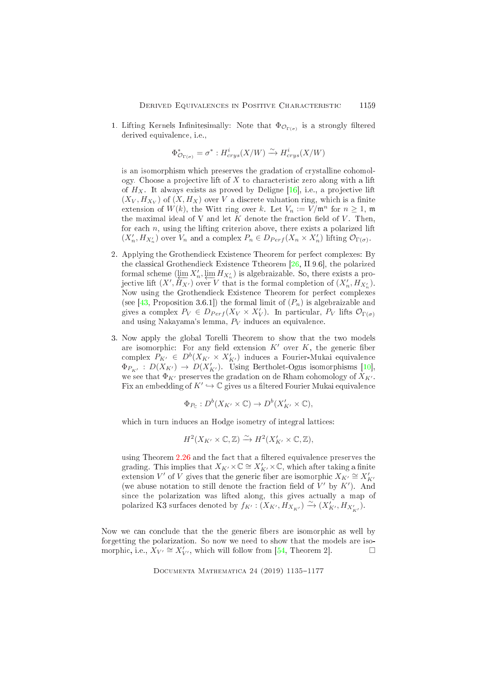1. Lifting Kernels Infinitesimally: Note that  $\Phi_{\mathcal{O}_{\Gamma(\sigma)}}$  is a strongly filtered derived equivalen
e, i.e.,

$$
\Phi_{\mathcal{O}_{\Gamma(\sigma)}}^{*}=\sigma^{*}:H_{crys}^{i}(X/W)\xrightarrow{\sim} H_{crys}^{i}(X/W)
$$

is an isomorphism which preserves the gradation of crystalline cohomology. Choose a projective lift of  $X$  to characteristic zero along with a lift of  $H_X$ . It always exists as proved by Deligne [16], i.e., a projective lift  $(X_V, H_{X_V})$  of  $(X, H_X)$  over V a discrete valuation ring, which is a finite extension of  $W(k)$ , the Witt ring over k. Let  $V_n := V/\mathfrak{m}^n$  for  $n \geq 1$ , m the maximal ideal of V and let  $K$  denote the fraction field of  $V$ . Then, for each  $n$ , using the lifting criterion above, there exists a polarized lift  $(X'_n, H_{X'_n})$  over  $V_n$  and a complex  $P_n \in D_{Perf}(X_n \times X'_n)$  lifting  $\mathcal{O}_{\Gamma(\sigma)}$ .

- 2. Applying the Grothendie
k Existen
e Theorem for perfe
t omplexes: By the classical Grothendieck Existence Ttheorem [\[26,](#page-39-10) II.9.6], the polarized formal scheme  $(\lim_{n} X'_n, \lim_{n} H_{X'_n})$  is algebraizable. So, there exists a pro-<br>jective lift  $(X' | \overleftarrow{H}_{X'})$  over V that is the formal completion of  $(X' | H_{X'})$ jective lift  $(X', \overleftarrow{H_{X'}})$  over V that is the formal completion of  $(X'_n, H_{X'_n})$ . Now using the Grothendie
k Existen
e Theorem for perfe
t omplexes (see [\[43,](#page-40-8) Proposition 3.6.1]) the formal limit of  $(P_n)$  is algebraizable and gives a complex  $P_V \in D_{Perf}(X_V \times X'_V)$ . In particular,  $P_V$  lifts  $\mathcal{O}_{\Gamma(\sigma)}$ and using Nakayama's lemma,  $P_V$  induces an equivalence.
- 3. Now apply the global Torelli Theorem to show that the two models are isomorphic: For any field extension  $K'$  over  $K$ , the generic fiber complex  $P_{K'} \in D^b(X_{K'} \times X'_{K'})$  induces a Fourier-Mukai equivalence  $\Phi_{P_{K'}}: D(X_{K'}) \to D(X'_{K'})$ . Using Bertholet-Ogus isomorphisms [10], we see that  $\Phi_{K'}$  preserves the gradation on de Rham cohomology of  $X_{K'}$ . Fix an embedding of  $K' \hookrightarrow \mathbb{C}$  gives us a filtered Fourier Mukai equivalence

$$
\Phi_{P_{\mathbb{C}}} : D^b(X_{K'} \times \mathbb{C}) \to D^b(X'_{K'} \times \mathbb{C}),
$$

which in turn induces an Hodge isometry of integral lattices:

$$
H^2(X_{K'} \times \mathbb{C}, \mathbb{Z}) \xrightarrow{\sim} H^2(X'_{K'} \times \mathbb{C}, \mathbb{Z}),
$$

using Theorem [2.26](#page-12-1) and the fact that a filtered equivalence preserves the grading. This implies that  $X_{K'} \times \mathbb{C} \cong X'_{K'} \times \mathbb{C}$ , which after taking a finite extension  $V'$  of  $V$  gives that the generic fiber are isomorphic  $X_{K'} \cong X'_{K'}$ (we abuse notation to still denote the fraction field of  $V'$  by  $K'$ ). And sin
e the polarization was lifted along, this gives a
tually a map of polarized K3 surfaces denoted by  $f_{K'} : (X_{K'}, H_{X_{K'}}) \xrightarrow{\sim} (X'_{K'}, H_{X'_{K'}}).$ 

<span id="page-24-0"></span>Now we can conclude that the the generic fibers are isomorphic as well by forgetting the polarization. So now we need to show that the models are isomorphic, i.e.,  $X_{V'} \cong X'_{V'}$ , which will follow from [\[54,](#page-41-10) Theorem 2].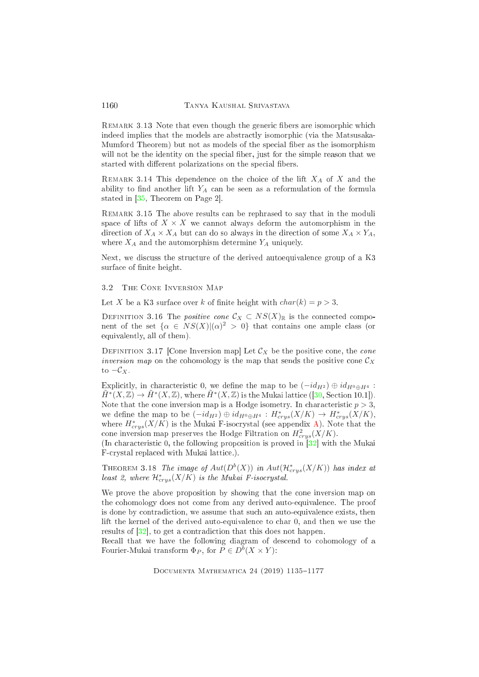REMARK 3.13 Note that even though the generic fibers are isomorphic which indeed implies that the models are abstractly isomorphic (via the Matsusaka-Mumford Theorem) but not as models of the special fiber as the isomorphism will not be the identity on the special fiber, just for the simple reason that we started with different polarizations on the special fibers.

<span id="page-25-1"></span>REMARK 3.14 This dependence on the choice of the lift  $X_A$  of X and the ability to find another lift  $Y_A$  can be seen as a reformulation of the formula stated in  $[35,$  Theorem on Page 2.

<span id="page-25-2"></span>REMARK 3.15 The above results can be rephrased to say that in the moduli space of lifts of  $X \times X$  we cannot always deform the automorphism in the direction of  $X_A \times X_A$  but can do so always in the direction of some  $X_A \times Y_A$ , where  $X_A$  and the automorphism determine  $Y_A$  uniquely.

Next, we discuss the structure of the derived autoequivalence group of a K3 surface of finite height.

#### THE CONE INVERSION MAP 3.2

Let X be a K3 surface over k of finite height with  $char(k) = p > 3$ .

DEFINITION 3.16 The *positive cone*  $\mathcal{C}_X \subset NS(X)_\mathbb{R}$  is the connected component of the set  $\{\alpha \in NS(X)|(\alpha)^2 > 0\}$  that contains one ample class (or equivalently, all of them).

DEFINITION 3.17 [Cone Inversion map] Let  $\mathcal{C}_X$  be the positive cone, the *cone* inversion map on the cohomology is the map that sends the positive cone  $\mathcal{C}_X$ to  $-\mathcal{C}_X$ .

Explicitly, in characteristic 0, we define the map to be  $(-id_{H^2}) \oplus id_{H^0 \oplus H^4}$ :  $\tilde{H}^*(X,\mathbb{Z}) \to \tilde{H}^*(X,\mathbb{Z})$ , where  $\tilde{H}^*(X,\mathbb{Z})$  is the Mukai lattice ([\[30,](#page-39-0) Section 10.1]). Note that the cone inversion map is a Hodge isometry. In characteristic  $p > 3$ , we define the map to be  $(-id_{H^2}) \oplus id_{H^0 \oplus H^4} : H^*_{crys}(X/K) \to H^*_{crys}(X/K),$ where  $H^*_{crys}(X/K)$  is the Mukai F-isocrystal (see appendix  ${\rm A)}$ ). Note that the cone inversion map preserves the Hodge Filtration on  $H^2_{crys}(X/K)$ .

<span id="page-25-0"></span>(In characteristic 0, the following proposition is proved in  $[32]$  with the Mukai Frystal repla
ed with Mukai latti
e.).

THEOREM 3.18 The image of  $Aut(D^b(X))$  in  $Aut(\mathcal{H}^*_{crys}(X/K))$  has index at least 2, where  $\mathcal{H}^*_{crys}(X/K)$  is the Mukai F-isocrystal.

We prove the above proposition by showing that the one inversion map on the ohomology does not ome from any derived auto-equivalen
e. The proof is done by contradiction, we assume that such an auto-equivalence exists, then lift the kernel of the derived auto-equivalence to char 0, and then we use the results of  $[32]$ , to get a contradiction that this does not happen.

Recall that we have the following diagram of descend to cohomology of a Fourier-Mukai transform  $\Phi_P$ , for  $P \in D^b(X \times Y)$ :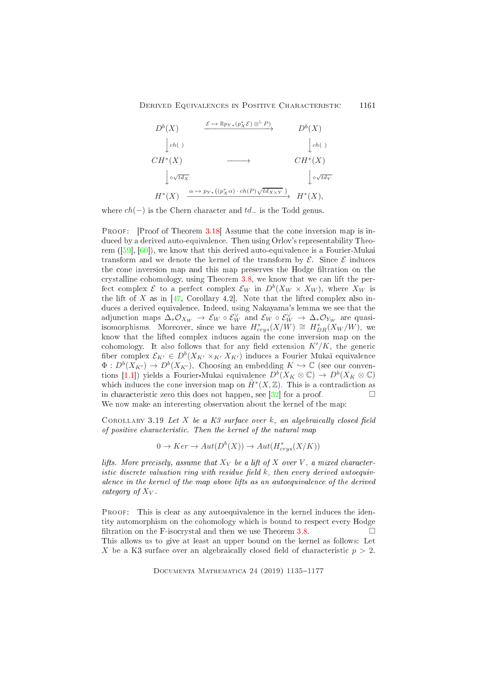

where  $ch(-)$  is the Chern character and  $td_-$  is the Todd genus.

PROOF: [Proof of Theorem 3.18] Assume that the cone inversion map is indu
ed by a derived auto-equivalen
e. Then using Orlov's representability Theorem  $([59], [60])$ , we know that this derived auto-equivalence is a Fourier-Mukai transform and we denote the kernel of the transform by  $\mathcal{E}$ . Since  $\mathcal{E}$  induces the cone inversion map and this map preserves the Hodge filtration on the crystalline cohomology, using Theorem [3.8,](#page-22-1) we know that we can lift the perfect complex  $\mathcal{E}$  to a perfect complex  $\mathcal{E}_W$  in  $D^b(X_W \times X_W)$ , where  $X_W$  is the lift of  $X$  as in [\[47,](#page-40-9) Corollary 4.2]. Note that the lifted complex also indu
es a derived equivalen
e. Indeed, using Nakayama's lemma we see that the adjunction maps  $\Delta_* \mathcal{O}_{X_W} \to \mathcal{E}_W \circ \mathcal{E}_W^\vee$  and  $\mathcal{E}_W \circ \mathcal{E}_W^\vee \to \Delta_* \mathcal{O}_{Y_W}$  are quasiisomorphisms. Moreover, since we have  $H^*_{crys}(X/W)\,\cong\, H^*_{DR}(X_W/W),$  we know that the lifted omplex indu
es again the one inversion map on the cohomology. It also follows that for any field extension  $K'/K$ , the generic fiber complex  $\mathcal{E}_{K'} \in D^b(X_{K'} \times_{K'} X_{K'})$  induces a Fourier Mukai equivalence  $\Phi: D^b(X_{K'}) \to D^b(X_{K'})$ . Choosing an embedding  $K \hookrightarrow \mathbb{C}$  (see our conventions [1.1]) yields a Fourier-Mukai equivalence  $D^b(X_K \otimes \mathbb{C}) \to D^b(X_K \otimes \mathbb{C})$ which induces the cone inversion map on  $\tilde{H}^*(X,\mathbb{Z})$ . This is a contradiction as in characteristic zero this does not happen, see [32] for a proof.  $\square$ We now make an interesting observation about the kernel of the map:

<span id="page-26-0"></span>COROLLARY 3.19 Let X be a K3 surface over  $k$ , an algebraically closed field of positive characteristic. Then the kernel of the natural map

$$
0 \to Ker \to Aut(D^b(X)) \to Aut(H^*_{crys}(X/K))
$$

lifts. More precisely, assume that  $X_V$  be a lift of X over V, a mixed characteristic discrete valuation ring with residue field  $k$ , then every derived autoequivalence in the kernel of the map above lifts as an autoequivalence of the derived category of  $X_V$ .

PROOF: This is clear as any autoequivalence in the kernel induces the identity automorphism on the cohomology which is bound to respect every Hodge filtration on the F-isocrystal and then we use Theorem [3.8.](#page-22-1)  $\Box$ This allows us to give at least an upper bound on the kernel as follows: Let X be a K3 surface over an algebraically closed field of characteristic  $p > 2$ .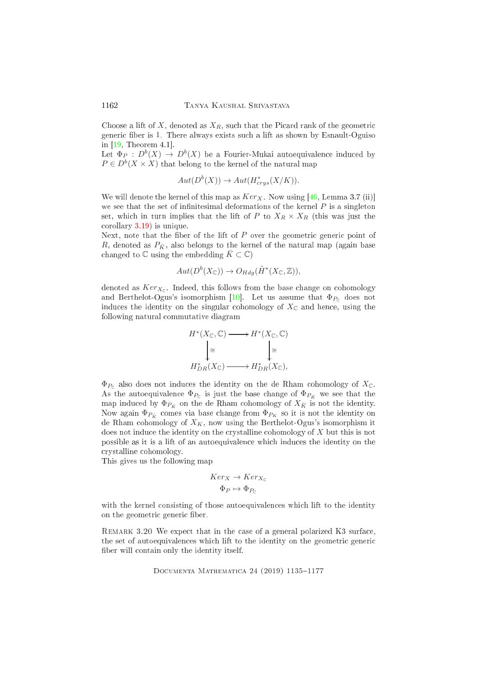Choose a lift of  $X$ , denoted as  $X_R$ , such that the Picard rank of the geometric generic fiber is 1. There always exists such a lift as shown by Esnault-Oguiso in  $[19,$  Theorem 4.1.

Let  $\Phi_P : D^b(X) \to D^b(X)$  be a Fourier-Mukai autoequivalence induced by  $P \in D^b(X \times X)$  that belong to the kernel of the natural map

$$
Aut(D^b(X)) \to Aut(H^*_{crys}(X/K)).
$$

We will denote the kernel of this map as  $Ker_X$ . Now using [\[46,](#page-40-2) Lemma 3.7 (ii)] we see that the set of infinitesimal deformations of the kernel  $P$  is a singleton set, which in turn implies that the lift of P to  $X_R \times X_R$  (this was just the orollary [3.19\)](#page-26-0) is unique.

Next, note that the fiber of the lift of  $P$  over the geometric generic point of R, denoted as  $P_{\bar{K}}$ , also belongs to the kernel of the natural map (again base changed to  $\mathbb C$  using the embedding  $\bar K\subset \mathbb C$ )

$$
Aut(D^b(X_{\mathbb{C}})) \to O_{Hdg}(\tilde{H}^*(X_{\mathbb{C}},\mathbb{Z})),
$$

denoted as  $Ker_{X_{\mathbb C}}.$  Indeed, this follows from the base change on cohomology and Berthelot-Ogus's isomorphism [10]. Let us assume that  $\Phi_{P_0}$  does not induces the identity on the singular cohomology of  $X_{\mathbb{C}}$  and hence, using the following natural ommutative diagram



 $\Phi_{P_{\mathbb{C}}}$  also does not induces the identity on the de Rham cohomology of  $X_{\mathbb{C}}$ . As the autoequivalence  $\Phi_{P_{\mathbb{C}}}$  is just the base change of  $\Phi_{P_{\bar{K}}}$  we see that the map induced by  $\Phi_{P_{\bar{K}}}$  on the de Rham cohomology of  $X_{\bar{K}}$  is not the identity. Now again  $\Phi_{P_{\bar{K}}}$  comes via base change from  $\Phi_{P_{K}}$  so it is not the identity on de Rham cohomology of  $X_K$ , now using the Berthelot-Ogus's isomorphism it does not induce the identity on the crystalline cohomology of X but this is not possible as it is a lift of an autoequivalen
e whi
h indu
es the identity on the rystalline ohomology.

This gives us the following map

$$
Ker_X \to Ker_{X_{\mathbb{C}}}
$$

$$
\Phi_P \mapsto \Phi_{P_{\mathbb{C}}}
$$

with the kernel consisting of those autoequivalences which lift to the identity on the geometric generic fiber.

REMARK 3.20 We expect that in the case of a general polarized K3 surface, the set of autoequivalences which lift to the identity on the geometric generic fiber will contain only the identity itself.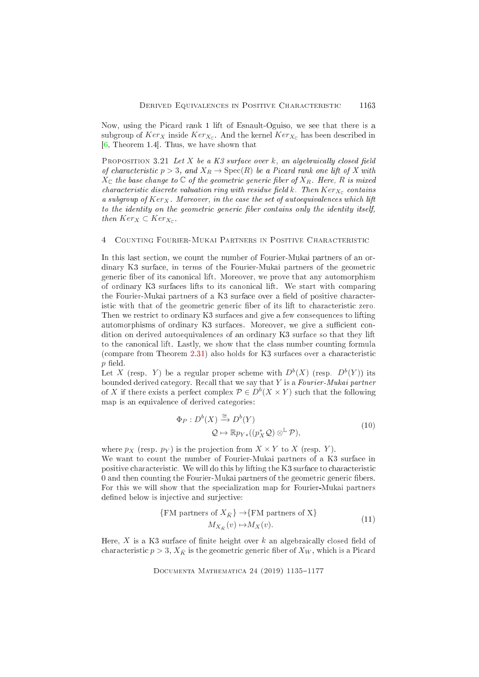Now, using the Picard rank 1 lift of Esnault-Oguiso, we see that there is a subgroup of  $Ker_X$  inside  $Ker_{X_{\Gamma}}$ . And the kernel  $Ker_{X_{\Gamma}}$  has been described in  $[6,$  Theorem 1.4. Thus, we have shown that

<span id="page-28-0"></span>PROPOSITION 3.21 Let  $X$  be a  $K3$  surface over  $k$ , an algebraically closed field of characteristic  $p > 3$ , and  $X_R \to \text{Spec}(R)$  be a Picard rank one lift of X with  $X_{\mathbb{C}}$  the base change to  $\mathbb{C}$  of the geometric generic fiber of  $X_R$ . Here, R is mixed  $\label{eq:characteristic} characteristic~discrete~valuation~ring~with~residue~field~k.~~Then~Ker_{X_{\mathbb C}}~contains~$ a subgroup of  $Ker_X$ . Moreover, in the case the set of autoequivalences which lift to the identity on the geometric generic fiber contains only the identity itself, then  $Ker_X \subset Ker_{X_{\Gamma}}$ .

#### <span id="page-28-1"></span>COUNTING FOURIER-MUKAI PARTNERS IN POSITIVE CHARACTERISTIC  $\mathcal{A}$

In this last section, we count the number of Fourier-Mukai partners of an ordinary K3 surface, in terms of the Fourier-Mukai partners of the geometric generic fiber of its canonical lift. Moreover, we prove that any automorphism of ordinary K3 surfaces lifts to its canonical lift. We start with comparing the Fourier-Mukai partners of a K3 surface over a field of positive characteristic with that of the geometric generic fiber of its lift to characteristic zero. Then we restrict to ordinary K3 surfaces and give a few consequences to lifting automorphisms of ordinary K3 surfaces. Moreover, we give a sufficient condition on derived autoequivalences of an ordinary K3 surface so that they lift to the canonical lift. Lastly, we show that the class number counting formula (compare from Theorem 2.31) also holds for K3 surfaces over a characteristic  $p$  field.

Let X (resp. Y) be a regular proper scheme with  $D^{b}(X)$  (resp.  $D^{b}(Y)$ ) its bounded derived category. Recall that we say that  $Y$  is a Fourier-Mukai partner of X if there exists a perfect complex  $P \in D^b(X \times Y)$  such that the following map is an equivalence of derived categories:

$$
\Phi_P: D^b(X) \xrightarrow{\cong} D^b(Y)
$$
  

$$
\mathcal{Q} \mapsto \mathbb{R}p_{Y*}((p_X^*\mathcal{Q}) \otimes^{\mathbb{L}} \mathcal{P}),
$$
 (10)

where  $p_X$  (resp.  $p_Y$ ) is the projection from  $X \times Y$  to X (resp. Y). We want to count the number of Fourier-Mukai partners of a K3 surface in positive characteristic. We will do this by lifting the K3 surface to characteristic 0 and then counting the Fourier-Mukai partners of the geometric generic fibers. For this we will show that the specialization map for Fourier-Mukai partners defined below is injective and surjective:

$$
\{FM\text{ partners of } X_{\bar{K}}\} \to \{FM\text{ partners of } X\}
$$
  

$$
M_{X_{\bar{K}}}(v) \to M_X(v).
$$
 (11)

<span id="page-28-2"></span>Here,  $X$  is a K3 surface of finite height over  $k$  an algebraically closed field of characteristic  $p > 3$ ,  $X_{\overline{K}}$  is the geometric generic fiber of  $X_W$ , which is a Picard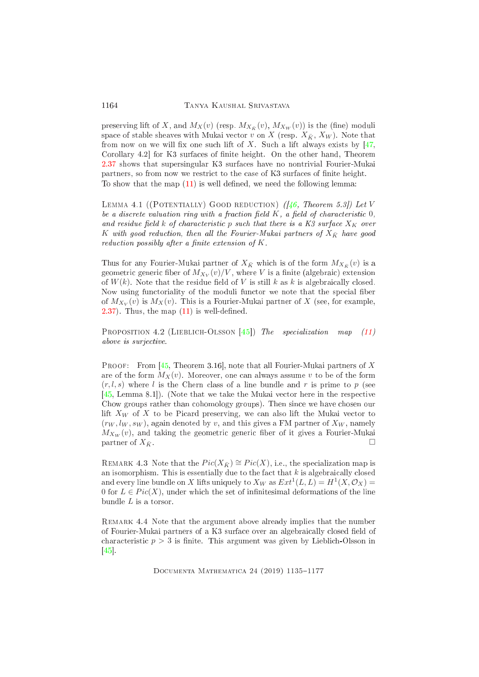preserving lift of X, and  $M_X(v)$  (resp.  $M_{X_{\bar{K}}}(v)$ ,  $M_{X_W}(v)$ ) is the (fine) moduli space of stable sheaves with Mukai vector v on X (resp.  $X_{\bar{K}}$ ,  $X_W$ ). Note that from now on we will fix one such lift of  $X$ . Such a lift always exists by [\[47,](#page-40-9) Corollary 4.2 for K3 surfaces of finite height. On the other hand, Theorem [2.37](#page-16-0) shows that supersingular K3 surfa
es have no nontrivial Fourier-Mukai partners, so from now we restrict to the case of K3 surfaces of finite height. To show that the map  $(11)$  is well defined, we need the following lemma:

LEMMA 4.1 ((POTENTIALLY) GOOD REDUCTION)  $(1/46,$  Theorem 5.3]) Let V be a discrete valuation ring with a fraction field  $K$ , a field of characteristic  $0$ , and residue field  $k$  of characteristic p such that there is a K3 surface  $X_K$  over K with good reduction, then all the Fourier-Mukai partners of  $X_{\bar{K}}$  have good reduction possibly after a finite extension of  $K$ .

Thus for any Fourier-Mukai partner of  $X_{\bar{K}}$  which is of the form  $M_{X_{\bar{K}}}(v)$  is a geometric generic fiber of  $M_{X_V}(v)/V,$  where  $V$  is a finite (algebraic) extension of  $W(k)$ . Note that the residue field of V is still k as k is algebraically closed. Now using functoriality of the moduli functor we note that the special fiber of  $M_{X_V}(v)$  is  $M_X(v)$ . This is a Fourier-Mukai partner of X (see, for example,  $(2.37)$  $(2.37)$ . Thus, the map  $(11)$  is well-defined.

<span id="page-29-0"></span>PROPOSITION 4.2 (LIEBLICH-OLSSON [45]) The specialization map  $(11)$ above is surjective.

**PROOF:** From [\[45,](#page-40-1) Theorem 3.16], note that all Fourier-Mukai partners of X are of the form  $M_X(v)$ . Moreover, one can always assume v to be of the form  $(r, l, s)$  where l is the Chern class of a line bundle and r is prime to p (see  $[45, Lemma 8.1]$  $[45, Lemma 8.1]$ . (Note that we take the Mukai vector here in the respective Chow groups rather than cohomology groups). Then since we have chosen our lift  $X_W$  of X to be Picard preserving, we can also lift the Mukai vector to  $(r_W, l_W, s_W)$ , again denoted by v, and this gives a FM partner of  $X_W$ , namely  $M_{X_W}(v)$ , and taking the geometric generic fiber of it gives a Fourier-Mukai partner of  $X_{\bar{K}}$ .

REMARK 4.3 Note that the  $Pic(X_{\overline{K}}) \cong Pic(X)$ , i.e., the specialization map is an isomorphism. This is essentially due to the fact that  $k$  is algebraically closed and every line bundle on X lifts uniquely to  $X_W$  as  $Ext^1(L, L) = H^1(X, \mathcal{O}_X) =$ 0 for  $L \in Pic(X)$ , under which the set of infinitesimal deformations of the line bundle L is a torsor.

REMARK 4.4 Note that the argument above already implies that the number of Fourier-Mukai partners of a K3 surface over an algebraically closed field of characteristic  $p > 3$  is finite. This argument was given by Lieblich-Olsson in  $\lceil 45 \rceil$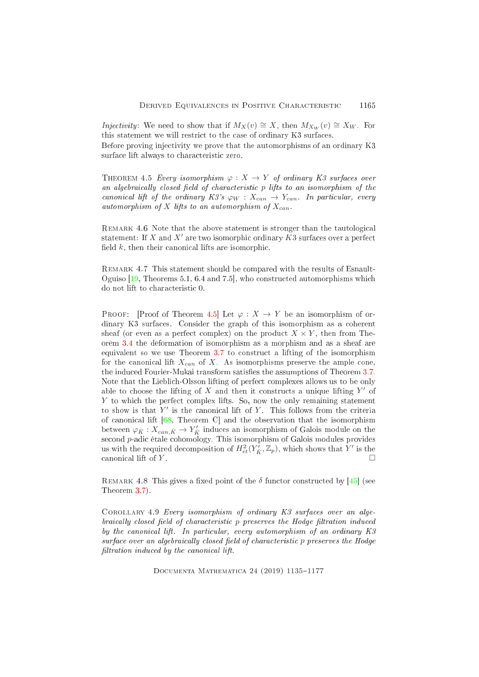*Injectivity*: We need to show that if  $M_X(v) \cong X$ , then  $M_{X_W}(v) \cong X_W$ . For this statement we will restrict to the case of ordinary K3 surfaces.

<span id="page-30-0"></span>Before proving injectivity we prove that the automorphisms of an ordinary K3 surface lift always to characteristic zero.

THEOREM 4.5 Every isomorphism  $\varphi: X \to Y$  of ordinary K3 surfaces over an algebraically closed field of characteristic p lifts to an isomorphism of the canonical lift of the ordinary K3's  $\varphi_W : X_{can} \to Y_{can}$ . In particular, every automorphism of X lifts to an automorphism of  $X_{can}$ .

REMARK 4.6 Note that the above statement is stronger than the tautological statement: If X and X' are two isomorphic ordinary  $K3$  surfaces over a perfect field  $k$ , then their canonical lifts are isomorphic.

REMARK 4.7 This statement should be compared with the results of Esnault-Oguiso  $[19,$  Theorems 5.1, 6.4 and 7.5, who constructed automorphisms which do not lift to characteristic 0.

PROOF: [Proof of Theorem 4.5] Let  $\varphi : X \to Y$  be an isomorphism of ordinary K3 surfaces. Consider the graph of this isomorphism as a coherent sheaf (or even as a perfect complex) on the product  $X \times Y$ , then from Theorem [3.4](#page-19-0) the deformation of isomorphism as a morphism and as a sheaf are equivalent so we use Theorem [3.7](#page-22-0) to construct a lifting of the isomorphism for the canonical lift  $X_{can}$  of X. As isomorphisms preserve the ample cone, the induced Fourier-Mukai transform satisfies the assumptions of Theorem [3.7.](#page-22-0) Note that the Liebli
h-Olsson lifting of perfe
t omplexes allows us to be only able to choose the lifting of  $X$  and then it constructs a unique lifting  $Y'$  of Y to which the perfect complex lifts. So, now the only remaining statement to show is that  $Y'$  is the canonical lift of  $Y$ . This follows from the criteria of canonical lift  $[68,$  Theorem C and the observation that the isomorphism between  $\varphi_{\bar{K}} : X_{can,\bar{K}} \to Y_{\bar{K}}'$  induces an isomorphism of Galois module on the second *p*-adic étale cohomology. This isomorphism of Galois modules provides us with the required decomposition of  $H^2_{et}(Y_{\bar K}, \mathbb{Z}_p)$ , which shows that  $Y'$  is the canonical lift of  $Y$ .

REMARK 4.8 This gives a fixed point of the  $\delta$  functor constructed by [45] (see Theorem [3.7\)](#page-22-0).

COROLLARY 4.9 Every isomorphism of ordinary K3 surfaces over an algebraically closed field of characteristic p preserves the Hodge filtration induced by the canonical lift. In particular, every automorphism of an ordinary K3 surface over an algebraically closed field of characteristic p preserves the Hodge filtration induced by the canonical lift.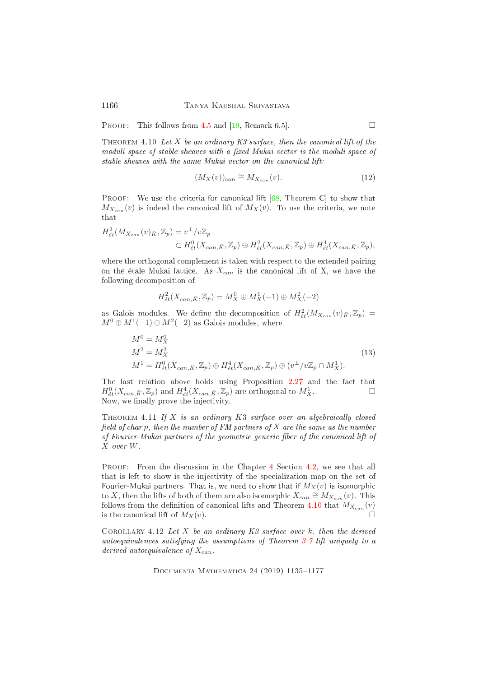<span id="page-31-1"></span>PROOF: This follows from [4.5](#page-30-0) and [\[19,](#page-38-8) Remark 6.5].

THEOREM 4.10 Let X be an ordinary  $K3$  surface, then the canonical lift of the moduli space of stable sheaves with a fixed Mukai vector is the moduli space of stable sheaves with the same Mukai vector on the canonical lift:

$$
(M_X(v))_{can} \cong M_{X_{can}}(v). \tag{12}
$$

**PROOF:** We use the criteria for canonical lift  $[68,$  Theorem C to show that  $M_{X_{can}}(v)$  is indeed the canonical lift of  $M_X(v)$ . To use the criteria, we note that

$$
H_{\acute{e}t}^{2}(M_{X_{can}}(v)_{\bar{K}},\mathbb{Z}_{p}) = v^{\perp}/v\mathbb{Z}_{p}
$$
  

$$
\subset H_{\acute{e}t}^{0}(X_{can,\bar{K}},\mathbb{Z}_{p}) \oplus H_{\acute{e}t}^{2}(X_{can,\bar{K}},\mathbb{Z}_{p}) \oplus H_{\acute{e}t}^{4}(X_{can,\bar{K}},\mathbb{Z}_{p}),
$$

where the orthogonal complement is taken with respect to the extended pairing on the étale Mukai lattice. As  $X_{can}$  is the canonical lift of X, we have the following de
omposition of

$$
H^2_{\acute{e}t}(X_{can,\bar{K}},\mathbb{Z}_p) = M_X^0 \oplus M_X^1(-1) \oplus M_X^2(-2)
$$

as Galois modules. We define the decomposition of  $H^2_{\acute{e}t}(M_{X_{can}}(v)_{\bar{K}},\mathbb{Z}_p)$  =  $M^0 \oplus M^1(-1) \oplus M^2(-2)$  as Galois modules, where

$$
M^{0} = M_{X}^{0}
$$
  
\n
$$
M^{2} = M_{X}^{2}
$$
  
\n
$$
M^{1} = H_{\acute{e}t}^{0}(X_{can,\bar{K}}, \mathbb{Z}_{p}) \oplus H_{\acute{e}t}^{4}(X_{can,\bar{K}}, \mathbb{Z}_{p}) \oplus (v^{+}/v\mathbb{Z}_{p} \cap M_{X}^{1}).
$$
\n(13)

The last relation above holds using Proposition [2.27](#page-13-3) and the fact that  $H^0_{\acute{e}t}(X_{can,\bar{K}},\mathbb{Z}_p)$  and  $H^4_{\acute{e}t}(X_{can,\bar{K}},\mathbb{Z}_p)$  are orthogonal to  $M^1_X$ . Now, we finally prove the injectivity.

<span id="page-31-0"></span>THEOREM 4.11 If X is an ordinary  $K3$  surface over an algebraically closed field of char p, then the number of  $FM$  partners of  $X$  are the same as the number of Fourier-Mukai partners of the geometric generic fiber of the canonical lift of  $X$  over  $W$ .

PROOF: From the discussion in the Chapter [4](#page-28-1) Section [4.2,](#page-29-0) we see that all that is left to show is the injectivity of the specialization map on the set of Fourier-Mukai partners. That is, we need to show that if  $M_X(v)$  is isomorphic to X, then the lifts of both of them are also isomorphic  $X_{can} \cong M_{X_{can}}(v)$ . This follows from the definition of canonical lifts and Theorem [4.10](#page-31-1) that  $M_{X_{can}}(v)$ is the canonical lift of  $M_X(v)$ .

COROLLARY 4.12 Let  $X$  be an ordinary  $K3$  surface over  $k$ , then the derived autoequivalen
es satisfying the assumptions of Theorem [3.7](#page-22-0) lift uniquely to a derived autoequivalence of  $X_{can}$ .

DOCUMENTA MATHEMATICA 24 (2019) 1135-1177

1166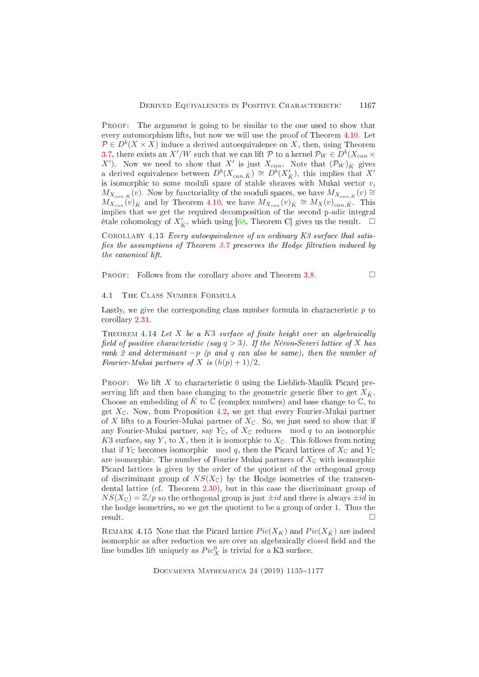Proof: The argument is going to be similar to the one used to show that every automorphism lifts, but now we will use the proof of Theorem [4.10.](#page-31-1) Let  $\mathcal{P} \in D^b(X \times X)$  induce a derived autoequivalence on X, then, using Theorem 3.7, there exists an  $X'/W$  such that we can lift  $P$  to a kernel  $P_W \in D^b(X_{can} \times$ X'). Now we need to show that X' is just  $X_{can}$ . Note that  $(\mathcal{P}_W)_{\bar{K}}$  gives a derived equivalence between  $D^b(X_{can,\bar{K}}) \cong D^b(X'_{\bar{K}})$ , this implies that  $X'$ is isomorphic to some moduli space of stable sheaves with Mukai vector  $v$ ,  $M_{X_{can,\bar{K}}}(v)$ . Now by functoriality of the moduli spaces, we have  $M_{X_{can,\bar{K}}}(v) \cong$  $M_{X_{can}}(v)_{\bar{K}}$  and by Theorem [4.10,](#page-31-1) we have  $M_{X_{can}}(v)_{\bar{K}} \cong M_X(v)_{can,\bar{K}}$ . This implies that we get the required decomposition of the second p-adic integral étale cohomology of  $X'_{\bar{K}}$ , which using [\[68,](#page-42-0) Theorem C] gives us the result.

COROLLARY 4.13 Every autoequivalence of an ordinary  $K3$  surface that satisfies the assumptions of Theorem  $3.7$  preserves the Hodge filtration induced by the canonical lift.

PROOF: Follows from the corollary above and Theorem [3.8.](#page-22-1)

# 4.1 The Class Number Formula

<span id="page-32-0"></span>Lastly, we give the corresponding class number formula in characteristic  $p$  to orollary [2.31.](#page-14-0)

THEOREM 4.14 Let X be a K3 surface of finite height over an algebraically field of positive characteristic (say  $q > 3$ ). If the Néron-Severi lattice of X has rank 2 and determinant  $-p$  (p and q can also be same), then the number of Fourier-Mukai partners of X is  $(h(p) + 1)/2$ .

**PROOF:** We lift X to characteristic 0 using the Lieblich-Maulik Picard preserving lift and then base changing to the geometric generic fiber to get  $X_{\bar{K}}$ . Choose an embedding of  $\bar{K}$  to  $\mathbb C$  (complex numbers) and base change to  $\mathbb C$ , to get  $X_{\mathbb{C}}$ . Now, from Proposition [4.2,](#page-29-0) we get that every Fourier-Mukai partner of X lifts to a Fourier-Mukai partner of  $X_{\mathbb{C}}$ . So, we just need to show that if any Fourier-Mukai partner, say  $Y_{\mathbb{C}}$ , of  $X_{\mathbb{C}}$  reduces mod q to an isomorphic K3 surface, say Y, to X, then it is isomorphic to  $X_{\mathbb{C}}$ . This follows from noting that if  $Y_{\mathbb{C}}$  becomes isomorphic mod q, then the Picard lattices of  $X_{\mathbb{C}}$  and  $Y_{\mathbb{C}}$ are isomorphic. The number of Fourier Mukai partners of  $X_{\mathbb{C}}$  with isomorphic Picard lattices is given by the order of the quotient of the orthogonal group of discriminant group of  $NS(X_{\mathbb{C}})$  by the Hodge isometries of the transcen-dental lattice (cf. Theorem [2.30\)](#page-14-1), but in this case the discriminant group of  $NS(X_{\mathbb{C}}) = \mathbb{Z}/p$  so the orthogonal group is just  $\pm id$  and there is always  $\pm id$  in the hodge isometries, so we get the quotient to be a group of order 1. Thus the result. □

REMARK 4.15 Note that the Picard lattice  $Pic(X_K)$  and  $Pic(X_{\bar{K}})$  are indeed isomorphic as after reduction we are over an algebraically closed field and the line bundles lift uniquely as  $Pic_X^0$  is trivial for a K3 surface.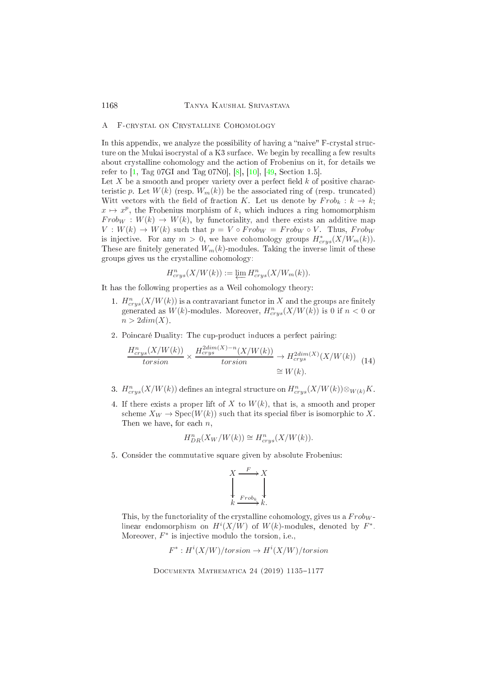# <span id="page-33-0"></span>A F-CRYSTAL ON CRYSTALLINE COHOMOLOGY

In this appendix, we analyze the possibility of having a "naive" F-crystal structure on the Mukai isocrystal of a K3 surface. We begin by recalling a few results about rystalline ohomology and the a
tion of Frobenius on it, for details we refer to  $[1, Tag 07GI and Tag 07N0], [8], [10], [49, Section 1.5].$  $[1, Tag 07GI and Tag 07N0], [8], [10], [49, Section 1.5].$  $[1, Tag 07GI and Tag 07N0], [8], [10], [49, Section 1.5].$  $[1, Tag 07GI and Tag 07N0], [8], [10], [49, Section 1.5].$ 

Let X be a smooth and proper variety over a perfect field  $k$  of positive characteristic p. Let  $W(k)$  (resp.  $W_m(k)$ ) be the associated ring of (resp. truncated) Witt vectors with the field of fraction K. Let us denote by  $Frob_k : k \to k$ ;  $x \mapsto x^p$ , the Frobenius morphism of k, which induces a ring homomorphism  $Frob_W : W(k) \to W(k)$ , by functoriality, and there exists an additive map  $V: W(k) \to W(k)$  such that  $p = V \circ Frob_W = Frob_W \circ V$ . Thus,  $Frob_W$ is injective. For any  $m > 0$ , we have cohomology groups  $H^*_{crys}(X/W_m(k))$ . These are finitely generated  $W_m(k)$ -modules. Taking the inverse limit of these groups gives us the rystalline ohomology:

$$
H^n_{crys}(X/W(k)) := \varprojlim H^n_{crys}(X/W_m(k)).
$$

It has the following properties as a Weil cohomology theory:

- 1.  $H^n_{crys}(X/W(k))$  is a contravariant functor in X and the groups are finitely generated as  $W(k)$ -modules. Moreover,  $H^n_{crys}(X/W(k))$  is 0 if  $n < 0$  or  $n > 2dim(X)$ .
- 2. Poincaré Duality: The cup-product induces a perfect pairing:

<span id="page-33-1"></span>
$$
\frac{H_{crys}^n(X/W(k))}{torsion} \times \frac{H_{crys}^{2dim(X)-n}(X/W(k))}{torsion} \to H_{crys}^{2dim(X)}(X/W(k)) \quad (14)
$$
  

$$
\cong W(k).
$$

- 3.  $H^n_{crys}(X/W(k))$  defines an integral structure on  $H^n_{crys}(X/W(k))\otimes_{W(k)} K$ .
- 4. If there exists a proper lift of X to  $W(k)$ , that is, a smooth and proper scheme  $X_W \to \text{Spec}(W(k))$  such that its special fiber is isomorphic to X. Then we have, for each  $n$ ,

$$
H_{DR}^n(X_W/W(k)) \cong H_{crys}^n(X/W(k)).
$$

5. Consider the ommutative square given by absolute Frobenius:

$$
X \xrightarrow{F} X
$$
  
\n
$$
\downarrow \qquad \qquad \downarrow
$$
  
\n
$$
k \xrightarrow{Frob_k} k.
$$

This, by the functoriality of the crystalline cohomology, gives us a  $Frob_W$ linear endomorphism on  $H^{i}(X/W)$  of  $W(k)$ -modules, denoted by  $F^*$ . Moreover,  $F^*$  is injective modulo the torsion, i.e.,

$$
F^*:H^i(X/W)/torsion\to H^i(X/W)/torsion
$$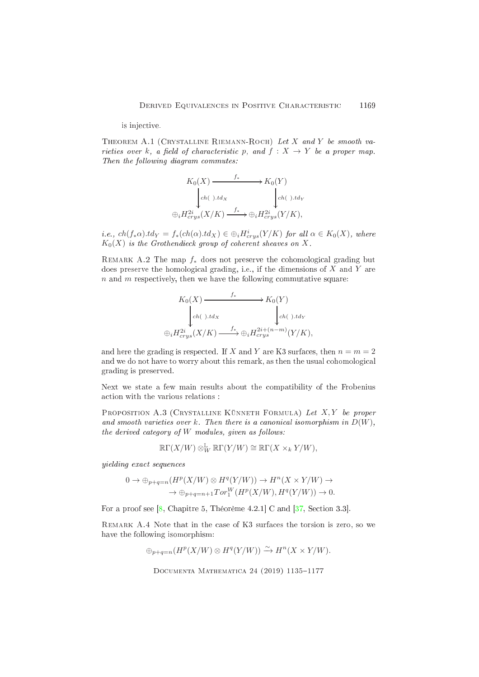### is inje
tive.

THEOREM A.1 (CRYSTALLINE RIEMANN-ROCH) Let X and Y be smooth varieties over k, a field of characteristic p, and  $f : X \to Y$  be a proper map. Then the following diagram commutes:

$$
K_0(X) \xrightarrow{f_*} K_0(Y)
$$
  
\n
$$
\downarrow_{ch(\ ).td_X} \qquad \qquad \downarrow_{ch(\ ).td_Y}
$$
  
\n
$$
\oplus_i H^{2i}_{crys}(X/K) \xrightarrow{f_*} \oplus_i H^{2i}_{crys}(Y/K),
$$

*i.e.*,  $ch(f_*\alpha).td_Y = f_*(ch(\alpha).td_X) \in \bigoplus_i H^i_{crys}(Y/K)$  for all  $\alpha \in K_0(X)$ , where  $K_0(X)$  is the Grothendieck group of coherent sheaves on X.

REMARK A.2 The map  $f_*$  does not preserve the cohomological grading but does preserve the homological grading, i.e., if the dimensions of  $X$  and  $Y$  are  $n$  and  $m$  respectively, then we have the following commutative square:

$$
K_0(X) \xrightarrow{f_*} K_0(Y)
$$
  
\n
$$
\downarrow ch(\cdot).td_X \qquad \qquad \downarrow ch(\cdot).td_Y
$$
  
\n
$$
\oplus_i H^{2i}_{crys}(X/K) \xrightarrow{f_*} \oplus_i H^{2i+(n-m)}_{crys}(Y/K),
$$

and here the grading is respected. If X and Y are K3 surfaces, then  $n = m = 2$ and we do not have to worry about this remark, as then the usual cohomological grading is preserved.

Next we state a few main results about the ompatibility of the Frobenius action with the various relations :

PROPOSITION A.3 (CRYSTALLINE KÜNNETH FORMULA) Let  $X, Y$  be proper and smooth varieties over  $k$ . Then there is a canonical isomorphism in  $D(W)$ , the derived category of  $W$  modules, given as follows:

$$
\mathbb{R}\Gamma(X/W) \otimes^{\mathbb{L}}_{W} \mathbb{R}\Gamma(Y/W) \cong \mathbb{R}\Gamma(X \times_{k} Y/W),
$$

yielding exa
t sequen
es

$$
0 \to \bigoplus_{p+q=n} (H^p(X/W) \otimes H^q(Y/W)) \to H^n(X \times Y/W) \to
$$
  

$$
\to \bigoplus_{p+q=n+1} Tor_1^W(H^p(X/W), H^q(Y/W)) \to 0.
$$

For a proof see  $[8,$  Chapitre 5, Théorème 4.2.1 C and  $[37,$  Section 3.3.

Remark A.4 Note that in the ase of K3 surfa
es the torsion is zero, so we have the following isomorphism:

$$
\oplus_{p+q=n}(H^p(X/W)\otimes H^q(Y/W)) \xrightarrow{\sim} H^n(X\times Y/W).
$$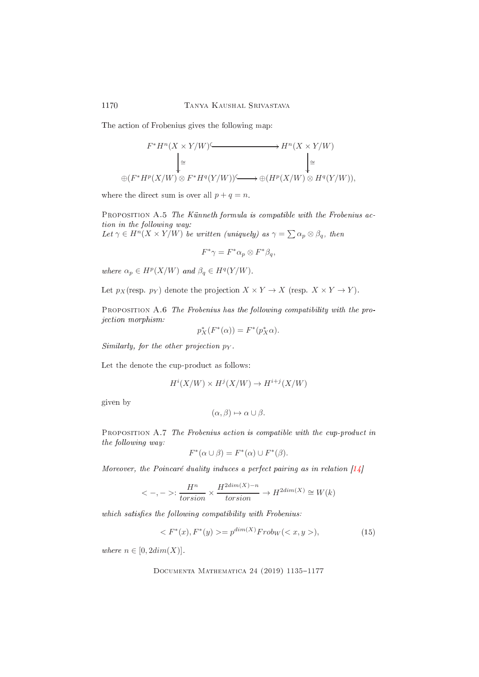The action of Frobenius gives the following map:

$$
\begin{array}{ccc}\nF^*H^n(X\times Y/W) & \xrightarrow{\quad} & H^n(X\times Y/W) \\
\downarrow^{\cong} & & \downarrow^{\cong} \\
\oplus(F^*H^p(X/W)\otimes F^*H^q(Y/W)) & \xrightarrow{\quad} & \oplus (H^p(X/W)\otimes H^q(Y/W)),\n\end{array}
$$

where the direct sum is over all  $p + q = n$ .

PROPOSITION A.5 The Künneth formula is compatible with the Frobenius action in the following way:

Let  $\gamma \in H^n(X \times Y/W)$  be written (uniquely) as  $\gamma = \sum \alpha_p \otimes \beta_q$ , then

$$
F^*\gamma = F^*\alpha_p \otimes F^*\beta_q,
$$

where  $\alpha_p \in H^p(X/W)$  and  $\beta_q \in H^q(Y/W)$ .

Let  $p_X$  (resp.  $p_Y$ ) denote the projection  $X \times Y \to X$  (resp.  $X \times Y \to Y$ ).

PROPOSITION A.6 The Frobenius has the following compatibility with the proje
tion morphism:

$$
p_X^*(F^*(\alpha)) = F^*(p_X^*\alpha).
$$

Similarly, for the other projection  $p_Y$ .

Let the denote the cup-product as follows:

$$
H^i(X/W) \times H^j(X/W) \to H^{i+j}(X/W)
$$

given by

$$
(\alpha,\beta)\mapsto \alpha\cup\beta.
$$

<span id="page-35-0"></span>PROPOSITION A.7 The Frobenius action is compatible with the cup-product in the following way:

$$
F^*(\alpha \cup \beta) = F^*(\alpha) \cup F^*(\beta).
$$

Moreover, the Poincaré duality induces a perfect pairing as in relation  $[14]$ 

$$
\langle -, -\rangle \colon \frac{H^n}{torsion} \times \frac{H^{2dim(X)-n}}{torsion} \to H^{2dim(X)} \cong W(k)
$$

which satisfies the following compatibility with Frobenius:

$$
\langle F^*(x), F^*(y) \rangle = p^{\dim(X)} Frob_W(\langle x, y \rangle), \tag{15}
$$

where  $n \in [0, 2dim(X)]$ .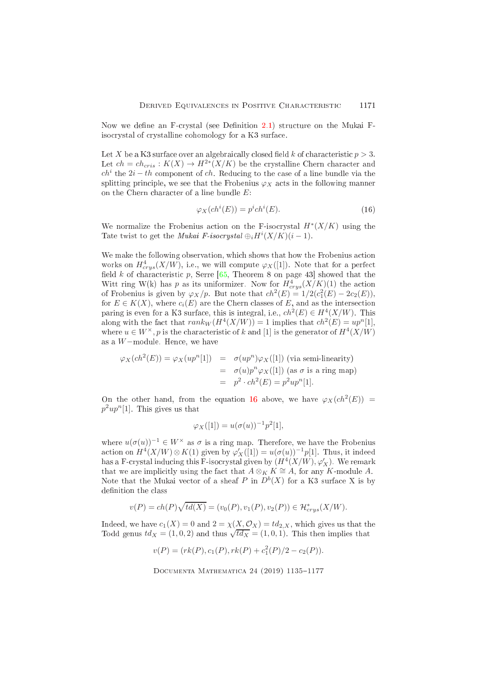Now we define an F-crystal (see Definition [2.1\)](#page-4-2) structure on the Mukai Fisocrystal of crystalline cohomology for a K3 surface.

Let X be a K3 surface over an algebraically closed field k of characteristic  $p > 3$ . Let  $ch = ch_{cris} : K(X) \to H^{2*}(X/K)$  be the crystalline Chern character and  $ch<sup>i</sup>$  the  $2i - th$  component of  $ch$ . Reducing to the case of a line bundle via the splitting principle, we see that the Frobenius  $\varphi_X$  acts in the following manner on the Chern character of a line bundle  $E$ :

<span id="page-36-0"></span>
$$
\varphi_X(ch^i(E)) = p^i ch^i(E). \tag{16}
$$

We normalize the Frobenius action on the F-isocrystal  $H^*(X/K)$  using the Tate twist to get the *Mukai F-isocrystal*  $\bigoplus_i H^i(X/K)(i-1)$ .

We make the following observation, which shows that how the Frobenius action works on  $H^4_{crys}(X/W)$ , i.e., we will compute  $\varphi_X([1])$ . Note that for a perfect field  $k$  of characteristic  $p$ , Serre [\[65,](#page-41-12) Theorem 8 on page 43] showed that the Witt ring W(k) has p as its uniformizer. Now for  $H^4_{crys}(X/K)(1)$  the action of Frobenius is given by  $\varphi_X/p$ . But note that  $ch^2(E) = 1/2(c_1^2(E) - 2c_2(E)),$ for  $E \in K(X)$ , where  $c_i(E)$  are the Chern classes of E, and as the intersection paring is even for a K3 surface, this is integral, i.e.,  $ch^2(E) \in H^4(X/W)$ . This along with the fact that  $rank_W(H^4(X/W)) = 1$  implies that  $ch^2(E) = up^n[1]$ , where  $u \in W^{\times}$ , p is the characteristic of k and [1] is the generator of  $H^4(X/W)$ as a W−module. Hen
e, we have

$$
\varphi_X(ch^2(E)) = \varphi_X(up^n[1]) = \sigma(up^n)\varphi_X([1]) \text{ (via semi-linearity)}
$$
  
= 
$$
\sigma(u)p^n\varphi_X([1]) \text{ (as } \sigma \text{ is a ring map)}
$$
  
= 
$$
p^2 \cdot ch^2(E) = p^2up^n[1].
$$

On the other hand, from the equation [16](#page-36-0) above, we have  $\varphi_X(ch^2(E))$  =  $p^2up^n[1]$ . This gives us that

$$
\varphi_X([1]) = u(\sigma(u))^{-1} p^2[1],
$$

where  $u(\sigma(u))^{-1} \in W^\times$  as  $\sigma$  is a ring map. Therefore, we have the Frobenius action on  $H^4(X/W) \otimes K(1)$  given by  $\varphi'_X([1]) = u(\sigma(u))^{-1}p[1]$ . Thus, it indeed has a F-crystal inducing this F-isocrystal given by  $(H^4(X/W),\varphi_X^{\prime})$ . We remark that we are implicitly using the fact that  $A \otimes_K K \cong A$ , for any K-module A. Note that the Mukai vector of a sheaf P in  $D^b(X)$  for a K3 surface X is by definition the class

$$
v(P) = ch(P)\sqrt{td(X)} = (v_0(P), v_1(P), v_2(P)) \in \mathcal{H}_{crys}^*(X/W).
$$

Indeed, we have  $c_1(X) = 0$  and  $2 = \chi(X, \mathcal{O}_X) = td_{2,X}$ , which gives us that the Todd genus  $td_X = (1, 0, 2)$  and thus  $\sqrt{td_X} = (1, 0, 1)$ . This then implies that

$$
v(P) = (rk(P), c_1(P), rk(P) + c_1^2(P)/2 - c_2(P)).
$$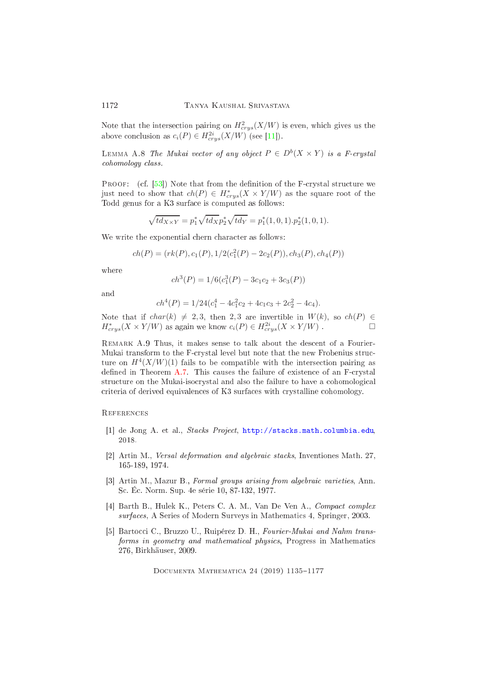Note that the intersection pairing on  $H^2_{crys}(X/W)$  is even, which gives us the above conclusion as  $c_i(P) \in H^{2i}_{crys}(X/W)$  (see [11]).

LEMMA A.8 The Mukai vector of any object  $P \in D^b(X \times Y)$  is a F-crystal ohomology lass.

PROOF: (cf.  $[53]$ ) Note that from the definition of the F-crystal structure we just need to show that  $ch(P) \in H^*_{crys}(X\times Y/W)$  as the square root of the Todd genus for a K3 surfa
e is omputed as follows:

$$
\sqrt{td_{X\times Y}} = p_1^* \sqrt{td_X} p_2^* \sqrt{td_Y} = p_1^*(1,0,1).p_2^*(1,0,1).
$$

We write the exponential chern character as follows:

$$
ch(P) = (rk(P), c1(P), 1/2(c12(P) – 2c2(P)), ch3(P), ch4(P))
$$

where

$$
ch3(P) = 1/6(c13(P) - 3c1c2 + 3c3(P))
$$

and

$$
ch4(P) = 1/24(c14 - 4c12c2 + 4c1c3 + 2c22 - 4c4).
$$

Note that if  $char(k) \neq 2, 3$ , then 2, 3 are invertible in  $W(k)$ , so  $ch(P) \in H^*$   $(X \times Y/W)$  as again we know  $c_i(P) \in H^{2i}$   $(X \times Y/W)$ .  $H^*_{crys}(X \times Y/W)$  as again we know  $c_i(P) \in H^{2i}_{crys}(X \times Y/W)$ .

REMARK A.9 Thus, it makes sense to talk about the descent of a Fourier-Mukai transform to the F-crystal level but note that the new Frobenius structure on  $H^4(X/W)(1)$  fails to be compatible with the intersection pairing as defined in Theorem [A.7.](#page-35-0) This causes the failure of existence of an  $F-crystal$ structure on the Mukai-isocrystal and also the failure to have a cohomological criteria of derived equivalences of K3 surfaces with crystalline cohomology.

### <span id="page-37-2"></span>**REFERENCES**

- [1] de Jong A. et al., *Stacks Project*, http://stacks.math.columbia.edu, 2018
- [2] Artin M., *Versal deformation and algebraic stacks*, Inventiones Math. 27, 165-189, 1974.
- [3] Artin M., Mazur B., Formal groups arising from algebraic varieties, Ann. S
. É
. Norm. Sup. 4e série 10, 87-132, 1977.
- <span id="page-37-0"></span>[4] Barth B., Hulek K., Peters C. A. M., Van De Ven A., Compact complex surfaces, A Series of Modern Surveys in Mathematics 4, Springer, 2003.
- <span id="page-37-1"></span>[5] Bartocci C., Bruzzo U., Ruipérez D. H., Fourier-Mukai and Nahm transforms in geometry and mathematical physics, Progress in Mathematics 276, Birkhäuser, 2009.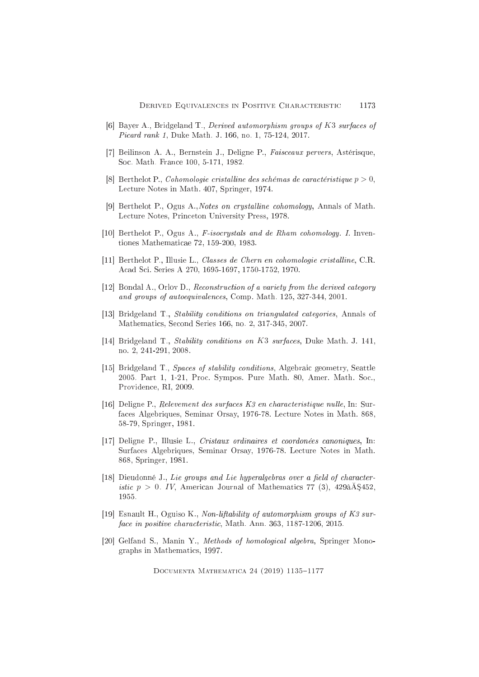- <span id="page-38-1"></span>[6] Bayer A., Bridgeland T., Derived automorphism groups of K3 surfaces of Picard rank 1, Duke Math. J. 166, no. 1, 75-124, 2017.
- <span id="page-38-10"></span>[7] Beilinson A. A., Bernstein J., Deligne P., Faisceaux pervers, Astérisque, Soc. Math. France 100, 5-171, 1982.
- <span id="page-38-5"></span>[8] Berthelot P., Cohomologie cristalline des schémas de caractéristique  $p > 0$ , Lecture Notes in Math. 407, Springer, 1974.
- [9] Berthelot P., Ogus A., Notes on crystalline cohomology, Annals of Math. Lecture Notes, Princeton University Press, 1978.
- <span id="page-38-9"></span>[10] Berthelot P., Ogus A., *F-isocrystals and de Rham cohomology. I.* Inventiones Mathematicae 72, 159-200, 1983.
- <span id="page-38-11"></span>[11] Berthelot P., Illusie L., Classes de Chern en cohomologie cristalline, C.R. Acad Sci. Series A 270, 1695-1697, 1750-1752, 1970.
- <span id="page-38-0"></span>[12] Bondal A., Orlov D., Reconstruction of a variety from the derived category and groups of autoequivalences, Comp. Math. 125, 327-344, 2001.
- <span id="page-38-7"></span><span id="page-38-2"></span>[13] Bridgeland T., *Stability conditions on triangulated categories*, Annals of Mathematics, Second Series 166, no. 2, 317-345, 2007.
- [14] Bridgeland T., *Stability conditions on K3 surfaces*, Duke Math. J. 141, no. 2, 241-291, 2008.
- [15] Bridgeland T., Spaces of stability conditions, Algebraic geometry, Seattle 2005. Part 1, 1-21, Proc. Sympos. Pure Math. 80, Amer. Math. Soc., Providence, RI, 2009.
- <span id="page-38-4"></span>[16] Deligne P., Relevement des surfaces  $K3$  en characteristique nulle, In: Surfaces Algebriques, Seminar Orsay, 1976-78. Lecture Notes in Math. 868, 58-79, Springer, 1981.
- [17] Deligne P., Illusie L., Cristaux ordinaires et coordonées canoniques, In: Surfaces Algebriques, Seminar Orsay, 1976-78. Lecture Notes in Math. 868, Springer, 1981.
- <span id="page-38-3"></span>[18] Dieudonné J., Lie groups and Lie hyperalgebras over a field of character*istic*  $p > 0$ . IV, American Journal of Mathematics 77 (3), 429 $\hat{A}$ \$452, 1955.
- <span id="page-38-8"></span>[19] Esnault H., Oguiso K., Non-liftability of automorphism groups of K3 surface in positive characteristic, Math. Ann. 363, 1187-1206, 2015.
- <span id="page-38-6"></span>[20] Gelfand S., Manin Y., Methods of homological algebra, Springer Monographs in Mathematics, 1997.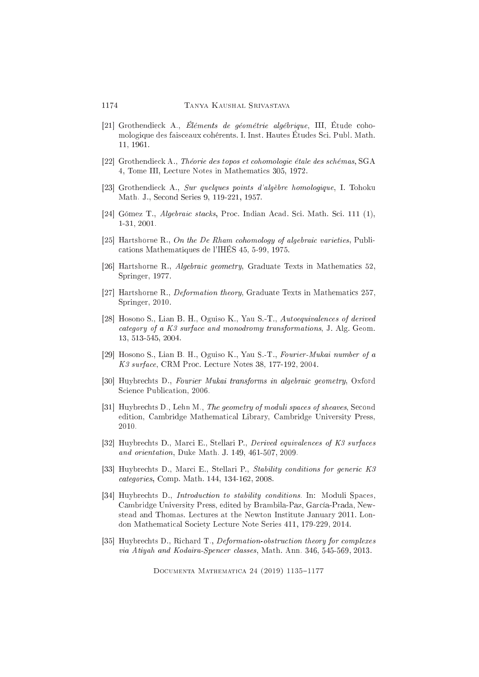- <span id="page-39-4"></span>[21] Grothendieck A., Éléments de géométrie algébrique, III, Étude cohomologique des fais
eaux ohérents. I. Inst. Hautes Études S
i. Publ. Math. 11, 1961.
- <span id="page-39-7"></span>[22] Grothendieck A., Théorie des topos et cohomologie étale des schémas, SGA 4, Tome III, Le
ture Notes in Mathemati
s 305, 1972.
- <span id="page-39-11"></span><span id="page-39-5"></span>[23] Grothendieck A., Sur quelques points d'algèbre homologique, I. Tohoku Math. J., Second Series 9, 119-221, 1957.
- [24] Gómez T., *Algebraic stacks*, Proc. Indian Acad. Sci. Math. Sci. 111 (1), 1-31, 2001.
- <span id="page-39-10"></span>[25] Hartshorne R., On the De Rham cohomology of algebraic varieties, Publiations Mathematiques de l'IHÉS 45, 5-99, 1975.
- [26] Hartshorne R., Algebraic geometry, Graduate Texts in Mathematics  $52$ , Springer, 1977.
- <span id="page-39-9"></span>[27] Hartshorne R., *Deformation theory*, Graduate Texts in Mathematics 257, Springer, 2010.
- <span id="page-39-2"></span>[28] Hosono S., Lian B. H., Oguiso K., Yau S.-T., Autoequivalences of derived ategory of a K3 surfa
e and monodromy transformations, J. Alg. Geom. 13, 513-545, 2004.
- <span id="page-39-1"></span>[29] Hosono S., Lian B. H., Oguiso K., Yau S.-T., Fourier-Mukai number of a K3 surfa
e, CRM Pro
. Le
ture Notes 38, 177-192, 2004.
- <span id="page-39-0"></span>[30] Huybrechts D., Fourier Mukai transforms in algebraic geometry, Oxford Science Publication, 2006.
- <span id="page-39-6"></span>[31] Huybrechts D., Lehn M., The geometry of moduli spaces of sheaves, Second edition, Cambridge Mathemati
al Library, Cambridge University Press, 2010.
- <span id="page-39-3"></span>[32] Huybrechts D., Marci E., Stellari P., Derived equivalences of K3 surfaces and orientation, Duke Math. J. 149, 461-507, 2009.
- <span id="page-39-8"></span>[33] Huybrechts D., Marci E., Stellari P., Stability conditions for generic K3 ategories, Comp. Math. 144, 134-162, 2008.
- [34] Huybrechts D., *Introduction to stability conditions*. In: Moduli Spaces, Cambridge University Press, edited by Brambila-Paz, Gar
ía-Prada, Newstead and Thomas. Lectures at the Newton Institute January 2011. London Mathemati
al So
iety Le
ture Note Series 411, 179-229, 2014.
- <span id="page-39-12"></span>[35] Huybrechts D., Richard T., *Deformation-obstruction theory for complexes* via Atiyah and Kodaira-Spen
er lasses, Math. Ann. 346, 545-569, 2013.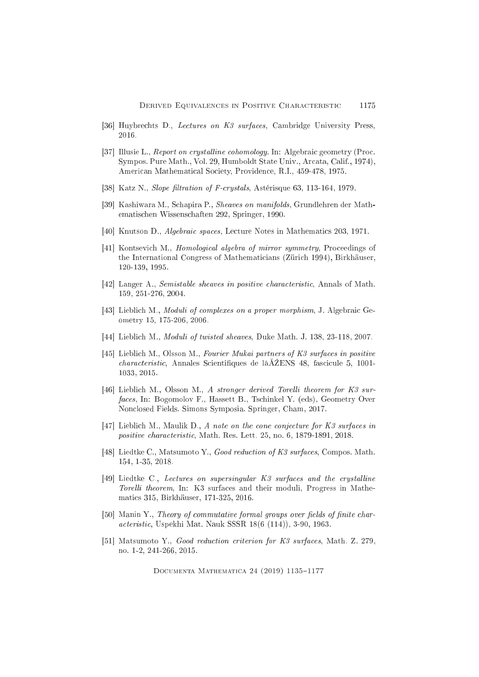- <span id="page-40-10"></span><span id="page-40-0"></span>[36] Huybrechts D., Lectures on K3 surfaces, Cambridge University Press, 2016.
- [37] Illusie L., Report on crystalline cohomology. In: Algebraic geometry (Proc. Sympos. Pure Math., Vol. 29, Humboldt State Univ., Arcata, Calif., 1974), American Mathematical Society, Providence, R.I., 459-478, 1975.
- <span id="page-40-7"></span>[38] Katz N., Slope filtration of F-crystals, Astérisque 63, 113-164, 1979.
- [39] Kashiwara M., Schapira P., *Sheaves on manifolds*, Grundlehren der Mathematischen Wissenschaften 292, Springer, 1990.
- <span id="page-40-3"></span>[40] Knutson D., *Algebraic spaces*, Lecture Notes in Mathematics 203, 1971.
- [41] Kontsevich M., *Homological algebra of mirror symmetry*, Proceedings of the International Congress of Mathematicians (Zürich 1994), Birkhäuser,  $120-139, 1995.$
- <span id="page-40-8"></span>[42] Langer A., Semistable sheaves in positive characteristic, Annals of Math. 159, 251-276, 2004.
- [43] Lieblich M., *Moduli of complexes on a proper morphism*, J. Algebraic Geometry 15, 175-206, 2006.
- <span id="page-40-6"></span><span id="page-40-1"></span>[44] Lieblich M., *Moduli of twisted sheaves*, Duke Math. J. 138, 23-118, 2007.
- [45] Lieblich M., Olsson M., Fourier Mukai partners of K3 surfaces in positive *characteristic*, Annales Scientifiques de lâ $\tilde{A}$ ZENS 48, fascicule 5, 1001-1033, 2015.
- <span id="page-40-2"></span>[46] Lieblich M., Olsson M., A stronger derived Torelli theorem for K3 surfaces, In: Bogomolov F., Hassett B., Tschinkel Y. (eds), Geometry Over Nonclosed Fields. Simons Symposia. Springer, Cham, 2017.
- <span id="page-40-9"></span>[47] Lieblich M., Maulik D., A note on the cone conjecture for  $K3$  surfaces in positive characteristic, Math. Res. Lett. 25, no. 6, 1879-1891, 2018.
- [48] Liedtke C., Matsumoto Y., Good reduction of K3 surfaces, Compos. Math. 154, 1-35, 2018.
- <span id="page-40-4"></span>[49] Liedtke C., Lectures on supersingular K3 surfaces and the crystalline Torelli theorem, In: K3 surfaces and their moduli, Progress in Mathematics 315, Birkhäuser, 171-325, 2016.
- <span id="page-40-5"></span>[50] Manin Y., Theory of commutative formal groups over fields of finite char*acteristic*, Uspekhi Mat. Nauk SSSR 18(6 (114)), 3-90, 1963.
- [51] Matsumoto Y., Good reduction criterion for K3 surfaces, Math. Z. 279, no. 1-2, 241-266, 2015.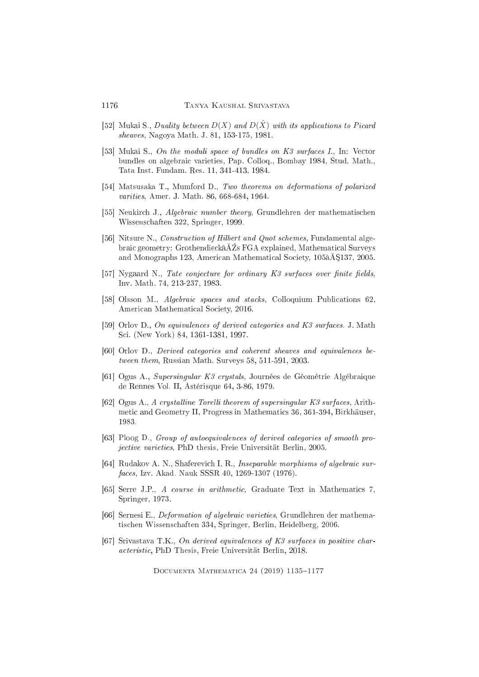- <span id="page-41-0"></span>[52] Mukai S., Duality between  $D(X)$  and  $D(\hat{X})$  with its applications to Picard sheaves, Nagoya Math. J. 81, 153-175, 1981.
- <span id="page-41-1"></span>[53] Mukai S., On the moduli space of bundles on  $K3$  surfaces I., In: Vector bundles on algebraic varieties, Pap. Colloq., Bombay 1984, Stud. Math., Tata Inst. Fundam. Res. 11, 341-413, 1984.
- <span id="page-41-10"></span><span id="page-41-3"></span>[54] Matsusaka T., Mumford D., Two theorems on deformations of polarized varities, Amer. J. Math. 86, 668-684, 1964.
- [55] Neukirch J., Algebraic number theory, Grundlehren der mathematischen Wissens
haften 322, Springer, 1999.
- <span id="page-41-8"></span>[56] Nitsure N., Construction of Hilbert and Quot schemes, Fundamental algebraic geometry: Grothendieckâ $\overline{A}Z$ s FGA explained, Mathematical Surveys and Monographs 123, American Mathematical Society, 105âÅ\$137, 2005.
- <span id="page-41-6"></span><span id="page-41-5"></span>[57] Nygaard N., Tate conjecture for ordinary K3 surfaces over finite fields, Inv. Math. 74, 213-237, 1983.
- [58] Olsson M., *Algebraic spaces and stacks*, Colloquium Publications 62, American Mathematical Society, 2016.
- <span id="page-41-2"></span>[59] Orlov D., On equivalences of derived categories and K3 surfaces. J. Math Sci. (New York) 84, 1361-1381, 1997.
- <span id="page-41-11"></span>[60] Orlov D., Derived categories and coherent sheaves and equivalences between them, Russian Math. Surveys 58, 511-591, 2003.
- [61] Ogus A., Supersingular K3 crystals, Journées de Géométrie Algébraique de Rennes Vol. II, Astérisque 64, 3-86, 1979.
- <span id="page-41-9"></span>[62] Ogus A., A crystalline Torelli theorem of supersingular K3 surfaces, Arithmeti and Geometry II, Progress in Mathemati
s 36, 361-394, Birkhäuser, 1983.
- <span id="page-41-4"></span>[63] Ploog D., Group of autoequivalences of derived categories of smooth proje
tive varieties, PhD thesis, Freie Universität Berlin, 2005.
- [64] Rudakov A. N., Shaferevich I. R., Inseparable morphisms of algebraic surfa
es, Izv. Akad. Nauk SSSR 40, 1269-1307 (1976).
- <span id="page-41-12"></span>[65] Serre J.P., A course in arithmetic, Graduate Text in Mathematics 7, Springer, 1973.
- [66] Sernesi E., *Deformation of algebraic varieties*, Grundlehren der mathematis
hen Wissens
haften 334, Springer, Berlin, Heidelberg, 2006.
- <span id="page-41-7"></span>[67] Srivastava T.K., On derived equivalences of  $K3$  surfaces in positive chara
teristi
, PhD Thesis, Freie Universität Berlin, 2018.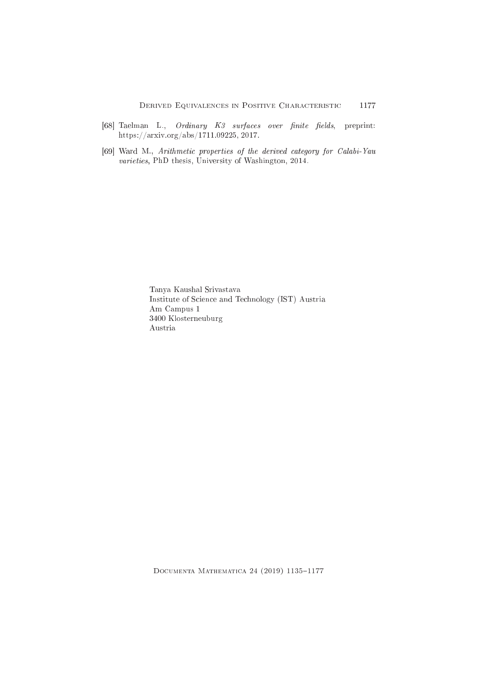- <span id="page-42-0"></span>[68] Taelman L., Ordinary K3 surfaces over finite fields, preprint: https://arxiv.org/abs/1711.09225, 2017.
- <span id="page-42-1"></span>[69] Ward M., Arithmetic properties of the derived category for Calabi-Yau varieties, PhD thesis, University of Washington, 2014.

Tanya Kaushal Srivastava Institute of Science and Technology (IST) Austria Am Campus 1 3400 Klosterneuburg Austria